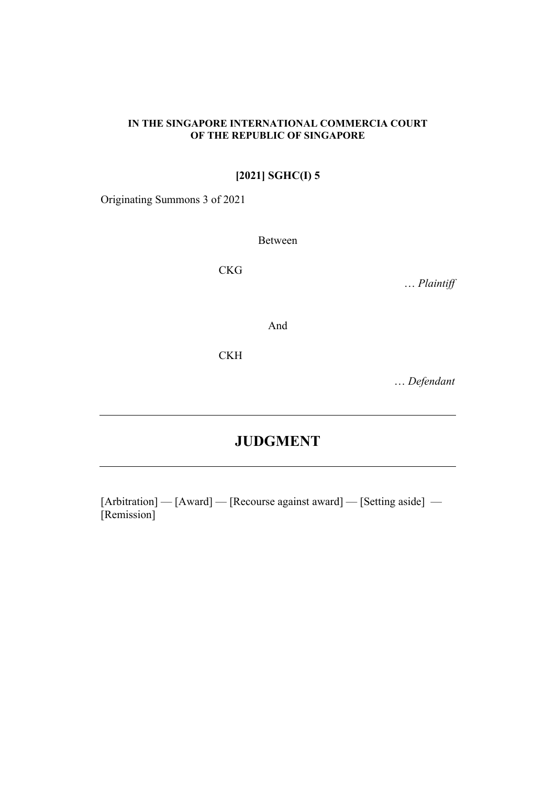#### **IN THE SINGAPORE INTERNATIONAL COMMERCIA COURT OF THE REPUBLIC OF SINGAPORE**

## **[2021] SGHC(I) 5**

Originating Summons 3 of 2021

Between

CKG

… *Plaintiff* 

And

**CKH** 

… *Defendant*

# **JUDGMENT**

[Arbitration] — [Award] — [Recourse against award] — [Setting aside] — [Remission]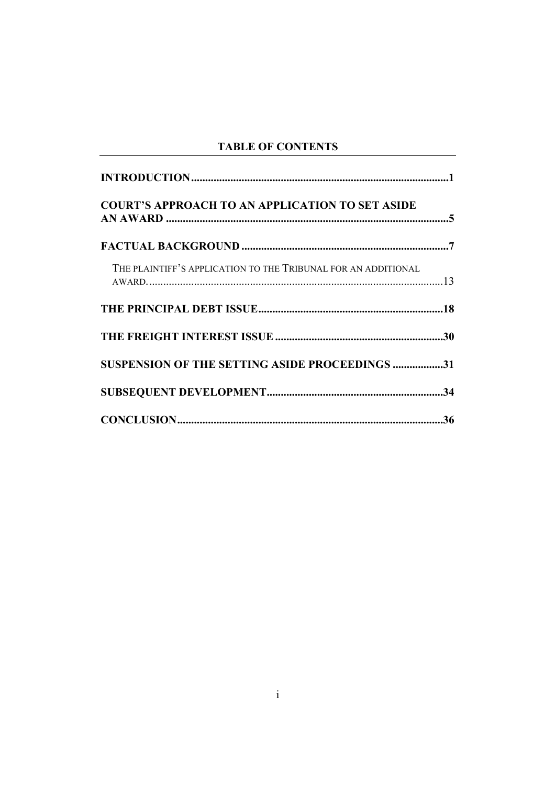# **TABLE OF CONTENTS**

| <b>COURT'S APPROACH TO AN APPLICATION TO SET ASIDE</b>        |  |
|---------------------------------------------------------------|--|
|                                                               |  |
| THE PLAINTIFF'S APPLICATION TO THE TRIBUNAL FOR AN ADDITIONAL |  |
|                                                               |  |
|                                                               |  |
| SUSPENSION OF THE SETTING ASIDE PROCEEDINGS 31                |  |
|                                                               |  |
|                                                               |  |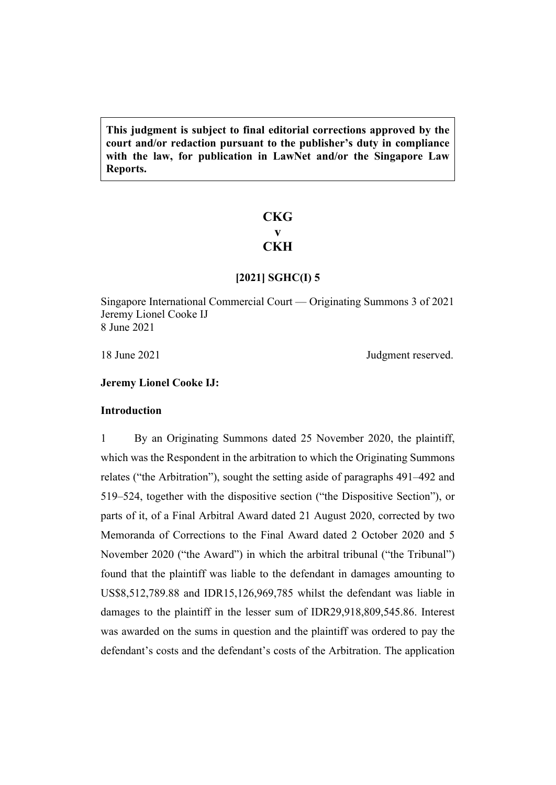**This judgment is subject to final editorial corrections approved by the court and/or redaction pursuant to the publisher's duty in compliance with the law, for publication in LawNet and/or the Singapore Law Reports.**

### **CKG v CKH**

#### **[2021] SGHC(I) 5**

Singapore International Commercial Court — Originating Summons 3 of 2021 Jeremy Lionel Cooke IJ 8 June 2021

18 June 2021 Judgment reserved.

#### <span id="page-2-0"></span>**Jeremy Lionel Cooke IJ:**

#### <span id="page-2-1"></span>**Introduction**

1 By an Originating Summons dated 25 November 2020, the plaintiff, which was the Respondent in the arbitration to which the Originating Summons relates ("the Arbitration"), sought the setting aside of paragraphs 491–492 and 519–524, together with the dispositive section ("the Dispositive Section"), or parts of it, of a Final Arbitral Award dated 21 August 2020, corrected by two Memoranda of Corrections to the Final Award dated 2 October 2020 and 5 November 2020 ("the Award") in which the arbitral tribunal ("the Tribunal") found that the plaintiff was liable to the defendant in damages amounting to US\$8,512,789.88 and IDR15,126,969,785 whilst the defendant was liable in damages to the plaintiff in the lesser sum of IDR29,918,809,545.86. Interest was awarded on the sums in question and the plaintiff was ordered to pay the defendant's costs and the defendant's costs of the Arbitration. The application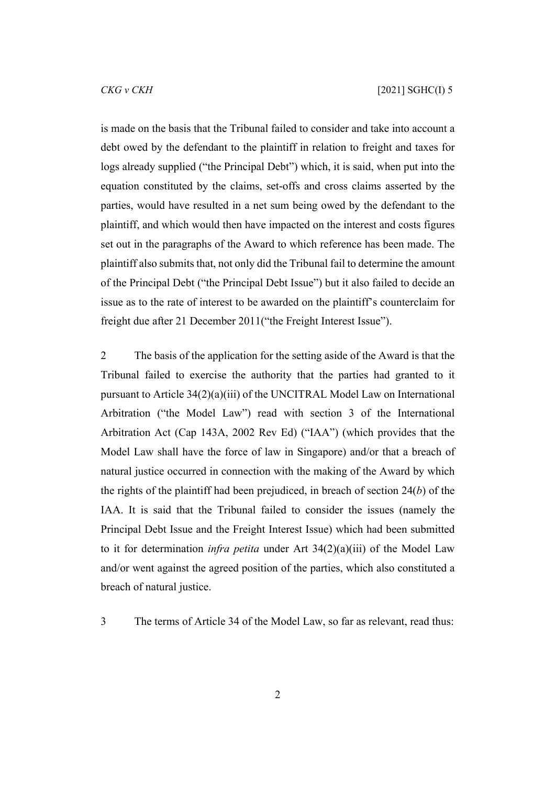is made on the basis that the Tribunal failed to consider and take into account a debt owed by the defendant to the plaintiff in relation to freight and taxes for logs already supplied ("the Principal Debt") which, it is said, when put into the equation constituted by the claims, set-offs and cross claims asserted by the parties, would have resulted in a net sum being owed by the defendant to the plaintiff, and which would then have impacted on the interest and costs figures set out in the paragraphs of the Award to which reference has been made. The plaintiff also submits that, not only did the Tribunal fail to determine the amount of the Principal Debt ("the Principal Debt Issue") but it also failed to decide an issue as to the rate of interest to be awarded on the plaintiff's counterclaim for freight due after 21 December 2011("the Freight Interest Issue").

2 The basis of the application for the setting aside of the Award is that the Tribunal failed to exercise the authority that the parties had granted to it pursuant to Article 34(2)(a)(iii) of the UNCITRAL Model Law on International Arbitration ("the Model Law") read with section 3 of the International Arbitration Act (Cap 143A, 2002 Rev Ed) ("IAA") (which provides that the Model Law shall have the force of law in Singapore) and/or that a breach of natural justice occurred in connection with the making of the Award by which the rights of the plaintiff had been prejudiced, in breach of section 24(*b*) of the IAA. It is said that the Tribunal failed to consider the issues (namely the Principal Debt Issue and the Freight Interest Issue) which had been submitted to it for determination *infra petita* under Art 34(2)(a)(iii) of the Model Law and/or went against the agreed position of the parties, which also constituted a breach of natural justice.

3 The terms of Article 34 of the Model Law, so far as relevant, read thus: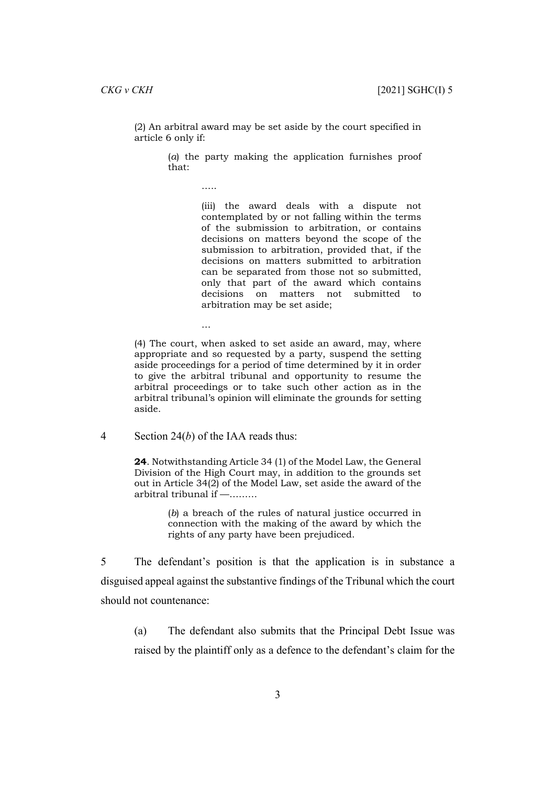(2) An arbitral award may be set aside by the court specified in article 6 only if:

> (*a*) the party making the application furnishes proof that:

> > …..

…

(iii) the award deals with a dispute not contemplated by or not falling within the terms of the submission to arbitration, or contains decisions on matters beyond the scope of the submission to arbitration, provided that, if the decisions on matters submitted to arbitration can be separated from those not so submitted, only that part of the award which contains decisions on matters not submitted to arbitration may be set aside;

(4) The court, when asked to set aside an award, may, where appropriate and so requested by a party, suspend the setting aside proceedings for a period of time determined by it in order to give the arbitral tribunal and opportunity to resume the arbitral proceedings or to take such other action as in the arbitral tribunal's opinion will eliminate the grounds for setting aside.

4 Section 24(*b*) of the IAA reads thus:

**24**. Notwithstanding Article 34 (1) of the Model Law, the General Division of the High Court may, in addition to the grounds set out in Article 34(2) of the Model Law, set aside the award of the arbitral tribunal if —………

> (*b*) a breach of the rules of natural justice occurred in connection with the making of the award by which the rights of any party have been prejudiced.

5 The defendant's position is that the application is in substance a disguised appeal against the substantive findings of the Tribunal which the court should not countenance:

(a) The defendant also submits that the Principal Debt Issue was raised by the plaintiff only as a defence to the defendant's claim for the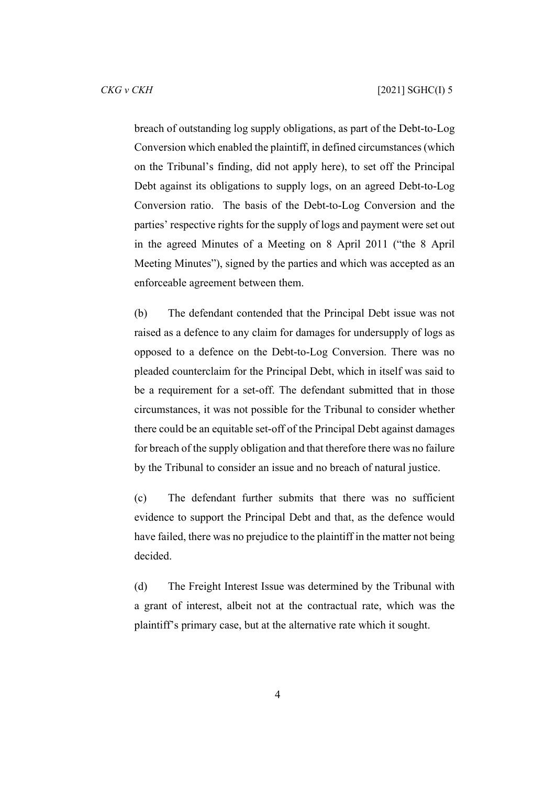breach of outstanding log supply obligations, as part of the Debt-to-Log Conversion which enabled the plaintiff, in defined circumstances (which on the Tribunal's finding, did not apply here), to set off the Principal Debt against its obligations to supply logs, on an agreed Debt-to-Log Conversion ratio. The basis of the Debt-to-Log Conversion and the parties' respective rights for the supply of logs and payment were set out in the agreed Minutes of a Meeting on 8 April 2011 ("the 8 April Meeting Minutes"), signed by the parties and which was accepted as an enforceable agreement between them.

(b) The defendant contended that the Principal Debt issue was not raised as a defence to any claim for damages for undersupply of logs as opposed to a defence on the Debt-to-Log Conversion. There was no pleaded counterclaim for the Principal Debt, which in itself was said to be a requirement for a set-off. The defendant submitted that in those circumstances, it was not possible for the Tribunal to consider whether there could be an equitable set-off of the Principal Debt against damages for breach of the supply obligation and that therefore there was no failure by the Tribunal to consider an issue and no breach of natural justice.

(c) The defendant further submits that there was no sufficient evidence to support the Principal Debt and that, as the defence would have failed, there was no prejudice to the plaintiff in the matter not being decided.

(d) The Freight Interest Issue was determined by the Tribunal with a grant of interest, albeit not at the contractual rate, which was the plaintiff's primary case, but at the alternative rate which it sought.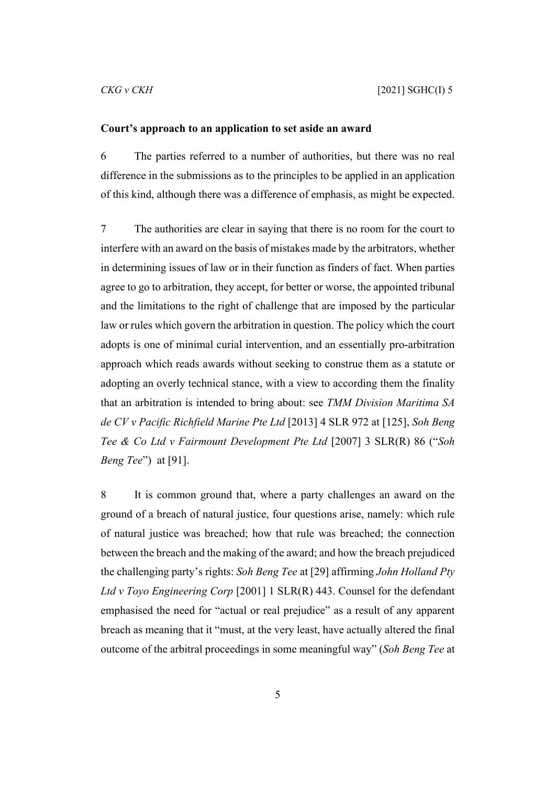#### <span id="page-6-0"></span>**Court's approach to an application to set aside an award**

6 The parties referred to a number of authorities, but there was no real difference in the submissions as to the principles to be applied in an application of this kind, although there was a difference of emphasis, as might be expected.

7 The authorities are clear in saying that there is no room for the court to interfere with an award on the basis of mistakes made by the arbitrators, whether in determining issues of law or in their function as finders of fact. When parties agree to go to arbitration, they accept, for better or worse, the appointed tribunal and the limitations to the right of challenge that are imposed by the particular law or rules which govern the arbitration in question. The policy which the court adopts is one of minimal curial intervention, and an essentially pro-arbitration approach which reads awards without seeking to construe them as a statute or adopting an overly technical stance, with a view to according them the finality that an arbitration is intended to bring about: see *TMM Division Maritima SA de CV v Pacific Richfield Marine Pte Ltd* [2013] 4 SLR 972 at [125], *Soh Beng Tee & Co Ltd v Fairmount Development Pte Ltd* [2007] 3 SLR(R) 86 ("*Soh Beng Tee*") at [91].

8 It is common ground that, where a party challenges an award on the ground of a breach of natural justice, four questions arise, namely: which rule of natural justice was breached; how that rule was breached; the connection between the breach and the making of the award; and how the breach prejudiced the challenging party's rights: *Soh Beng Tee* at [29] affirming *John Holland Pty Ltd v Toyo Engineering Corp* [2001] 1 SLR(R) 443. Counsel for the defendant emphasised the need for "actual or real prejudice" as a result of any apparent breach as meaning that it "must, at the very least, have actually altered the final outcome of the arbitral proceedings in some meaningful way" (*Soh Beng Tee* at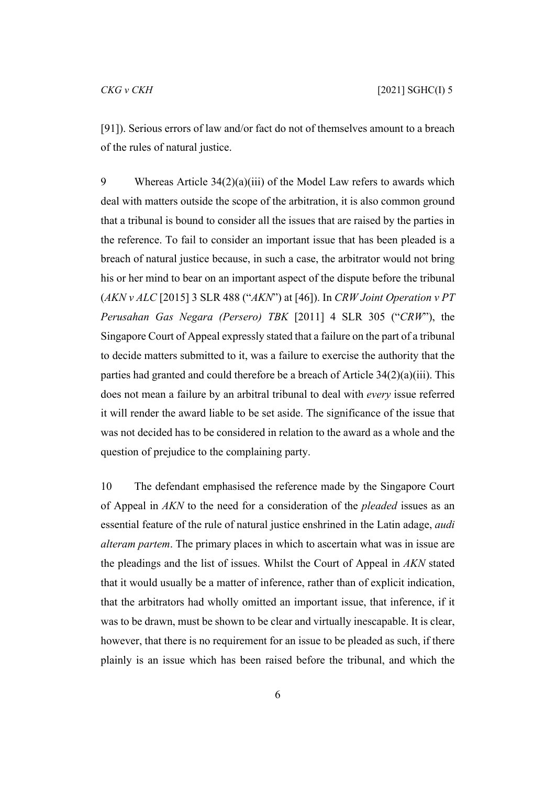[91]). Serious errors of law and/or fact do not of themselves amount to a breach of the rules of natural justice.

9 Whereas Article 34(2)(a)(iii) of the Model Law refers to awards which deal with matters outside the scope of the arbitration, it is also common ground that a tribunal is bound to consider all the issues that are raised by the parties in the reference. To fail to consider an important issue that has been pleaded is a breach of natural justice because, in such a case, the arbitrator would not bring his or her mind to bear on an important aspect of the dispute before the tribunal (*AKN v ALC* [2015] 3 SLR 488 ("*AKN*") at [46]). In *CRW Joint Operation v PT Perusahan Gas Negara (Persero) TBK* [2011] 4 SLR 305 ("*CRW*"), the Singapore Court of Appeal expressly stated that a failure on the part of a tribunal to decide matters submitted to it, was a failure to exercise the authority that the parties had granted and could therefore be a breach of Article 34(2)(a)(iii). This does not mean a failure by an arbitral tribunal to deal with *every* issue referred it will render the award liable to be set aside. The significance of the issue that was not decided has to be considered in relation to the award as a whole and the question of prejudice to the complaining party.

10 The defendant emphasised the reference made by the Singapore Court of Appeal in *AKN* to the need for a consideration of the *pleaded* issues as an essential feature of the rule of natural justice enshrined in the Latin adage, *audi alteram partem*. The primary places in which to ascertain what was in issue are the pleadings and the list of issues. Whilst the Court of Appeal in *AKN* stated that it would usually be a matter of inference, rather than of explicit indication, that the arbitrators had wholly omitted an important issue, that inference, if it was to be drawn, must be shown to be clear and virtually inescapable. It is clear, however, that there is no requirement for an issue to be pleaded as such, if there plainly is an issue which has been raised before the tribunal, and which the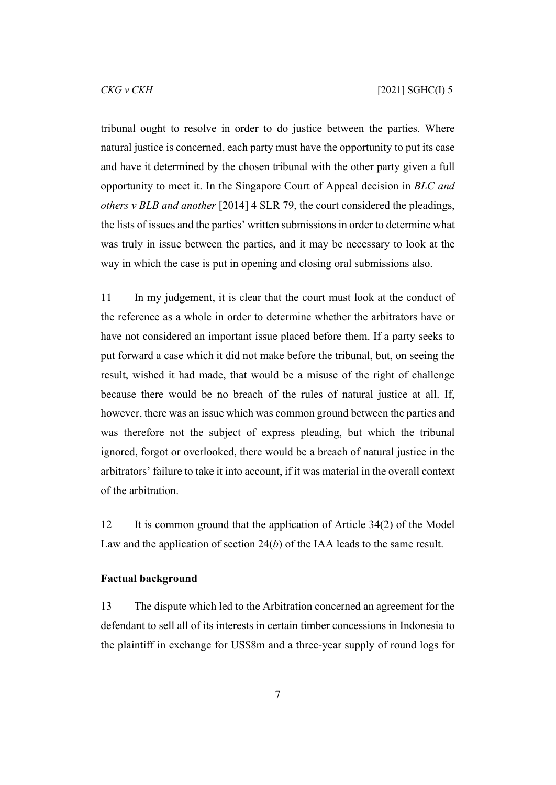tribunal ought to resolve in order to do justice between the parties. Where natural justice is concerned, each party must have the opportunity to put its case and have it determined by the chosen tribunal with the other party given a full opportunity to meet it. In the Singapore Court of Appeal decision in *BLC and others v BLB and another* [2014] 4 SLR 79, the court considered the pleadings, the lists of issues and the parties' written submissions in order to determine what was truly in issue between the parties, and it may be necessary to look at the way in which the case is put in opening and closing oral submissions also.

11 In my judgement, it is clear that the court must look at the conduct of the reference as a whole in order to determine whether the arbitrators have or have not considered an important issue placed before them. If a party seeks to put forward a case which it did not make before the tribunal, but, on seeing the result, wished it had made, that would be a misuse of the right of challenge because there would be no breach of the rules of natural justice at all. If, however, there was an issue which was common ground between the parties and was therefore not the subject of express pleading, but which the tribunal ignored, forgot or overlooked, there would be a breach of natural justice in the arbitrators' failure to take it into account, if it was material in the overall context of the arbitration.

12 It is common ground that the application of Article 34(2) of the Model Law and the application of section 24(*b*) of the IAA leads to the same result.

#### <span id="page-8-0"></span>**Factual background**

13 The dispute which led to the Arbitration concerned an agreement for the defendant to sell all of its interests in certain timber concessions in Indonesia to the plaintiff in exchange for US\$8m and a three-year supply of round logs for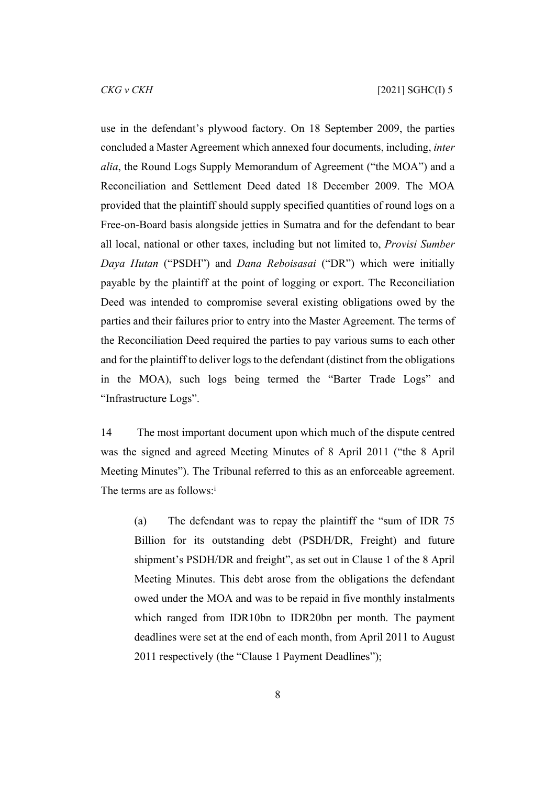use in the defendant's plywood factory. On 18 September 2009, the parties concluded a Master Agreement which annexed four documents, including, *inter alia*, the Round Logs Supply Memorandum of Agreement ("the MOA") and a Reconciliation and Settlement Deed dated 18 December 2009. The MOA provided that the plaintiff should supply specified quantities of round logs on a Free-on-Board basis alongside jetties in Sumatra and for the defendant to bear all local, national or other taxes, including but not limited to, *Provisi Sumber Daya Hutan* ("PSDH") and *Dana Reboisasai* ("DR") which were initially payable by the plaintiff at the point of logging or export. The Reconciliation Deed was intended to compromise several existing obligations owed by the parties and their failures prior to entry into the Master Agreement. The terms of the Reconciliation Deed required the parties to pay various sums to each other and for the plaintiff to deliver logs to the defendant (distinct from the obligations in the MOA), such logs being termed the "Barter Trade Logs" and "Infrastructure Logs".

14 The most important document upon which much of the dispute centred was the signed and agreed Meeting Minutes of 8 April 2011 ("the 8 April Meeting Minutes"). The Tribunal referred to this as an enforceable agreement. The terms are as follows:<sup>1</sup>

(a) The defendant was to repay the plaintiff the "sum of IDR 75 Billion for its outstanding debt (PSDH/DR, Freight) and future shipment's PSDH/DR and freight", as set out in Clause 1 of the 8 April Meeting Minutes. This debt arose from the obligations the defendant owed under the MOA and was to be repaid in five monthly instalments which ranged from IDR10bn to IDR20bn per month. The payment deadlines were set at the end of each month, from April 2011 to August 2011 respectively (the "Clause 1 Payment Deadlines");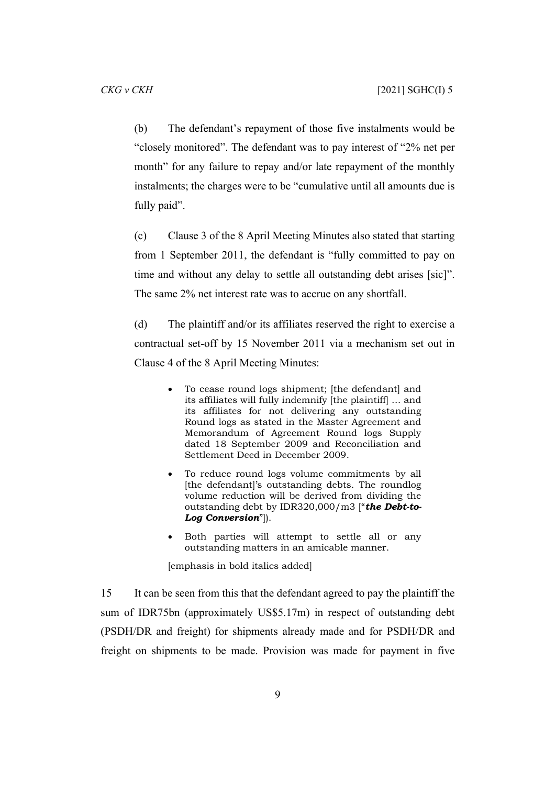(b) The defendant's repayment of those five instalments would be "closely monitored". The defendant was to pay interest of "2% net per month" for any failure to repay and/or late repayment of the monthly instalments; the charges were to be "cumulative until all amounts due is fully paid".

(c) Clause 3 of the 8 April Meeting Minutes also stated that starting from 1 September 2011, the defendant is "fully committed to pay on time and without any delay to settle all outstanding debt arises [sic]". The same 2% net interest rate was to accrue on any shortfall.

(d) The plaintiff and/or its affiliates reserved the right to exercise a contractual set-off by 15 November 2011 via a mechanism set out in Clause 4 of the 8 April Meeting Minutes:

- To cease round logs shipment; [the defendant] and its affiliates will fully indemnify [the plaintiff] … and its affiliates for not delivering any outstanding Round logs as stated in the Master Agreement and Memorandum of Agreement Round logs Supply dated 18 September 2009 and Reconciliation and Settlement Deed in December 2009.
- To reduce round logs volume commitments by all [the defendant]'s outstanding debts. The roundlog volume reduction will be derived from dividing the outstanding debt by IDR320,000/m3 ["*the Debt-to-Log Conversion*"]).
- Both parties will attempt to settle all or any outstanding matters in an amicable manner.

[emphasis in bold italics added]

15 It can be seen from this that the defendant agreed to pay the plaintiff the sum of IDR75bn (approximately US\$5.17m) in respect of outstanding debt (PSDH/DR and freight) for shipments already made and for PSDH/DR and freight on shipments to be made. Provision was made for payment in five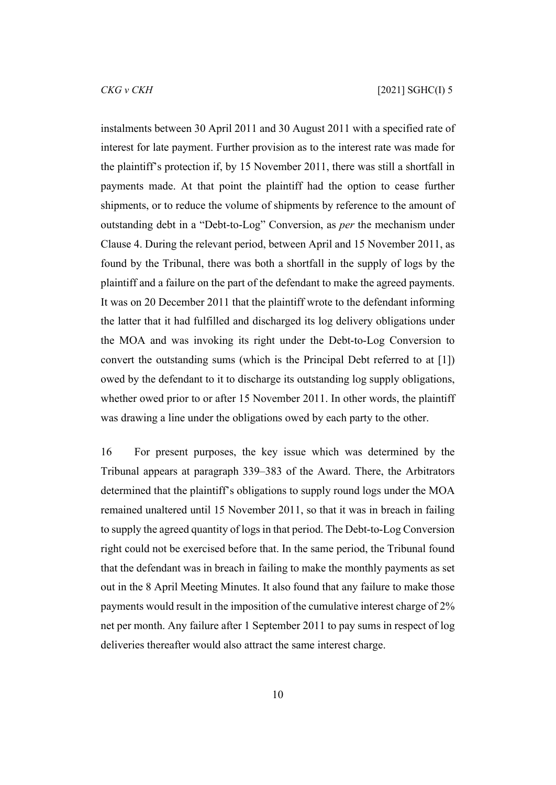instalments between 30 April 2011 and 30 August 2011 with a specified rate of interest for late payment. Further provision as to the interest rate was made for the plaintiff's protection if, by 15 November 2011, there was still a shortfall in payments made. At that point the plaintiff had the option to cease further shipments, or to reduce the volume of shipments by reference to the amount of outstanding debt in a "Debt-to-Log" Conversion, as *per* the mechanism under Clause 4. During the relevant period, between April and 15 November 2011, as found by the Tribunal, there was both a shortfall in the supply of logs by the plaintiff and a failure on the part of the defendant to make the agreed payments. It was on 20 December 2011 that the plaintiff wrote to the defendant informing the latter that it had fulfilled and discharged its log delivery obligations under the MOA and was invoking its right under the Debt-to-Log Conversion to convert the outstanding sums (which is the Principal Debt referred to at [\[1](#page-2-1)]) owed by the defendant to it to discharge its outstanding log supply obligations, whether owed prior to or after 15 November 2011. In other words, the plaintiff was drawing a line under the obligations owed by each party to the other.

16 For present purposes, the key issue which was determined by the Tribunal appears at paragraph 339–383 of the Award. There, the Arbitrators determined that the plaintiff's obligations to supply round logs under the MOA remained unaltered until 15 November 2011, so that it was in breach in failing to supply the agreed quantity of logs in that period. The Debt-to-Log Conversion right could not be exercised before that. In the same period, the Tribunal found that the defendant was in breach in failing to make the monthly payments as set out in the 8 April Meeting Minutes. It also found that any failure to make those payments would result in the imposition of the cumulative interest charge of 2% net per month. Any failure after 1 September 2011 to pay sums in respect of log deliveries thereafter would also attract the same interest charge.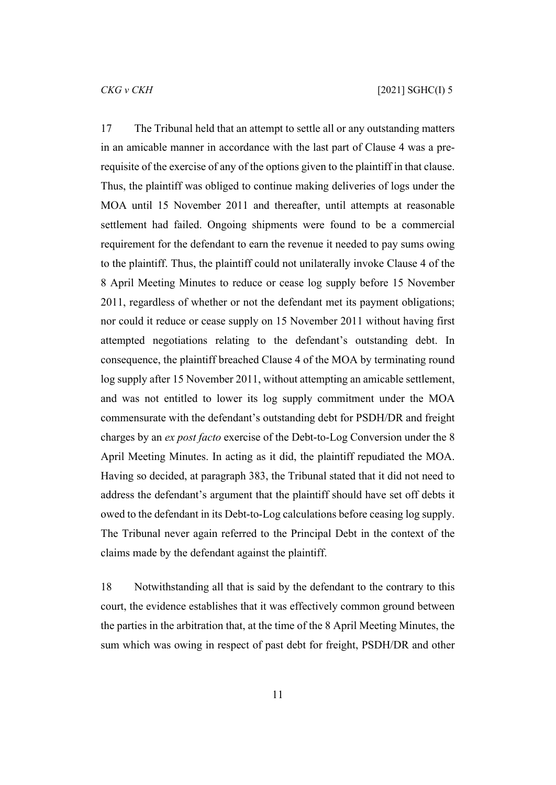17 The Tribunal held that an attempt to settle all or any outstanding matters in an amicable manner in accordance with the last part of Clause 4 was a prerequisite of the exercise of any of the options given to the plaintiff in that clause. Thus, the plaintiff was obliged to continue making deliveries of logs under the MOA until 15 November 2011 and thereafter, until attempts at reasonable settlement had failed. Ongoing shipments were found to be a commercial requirement for the defendant to earn the revenue it needed to pay sums owing to the plaintiff. Thus, the plaintiff could not unilaterally invoke Clause 4 of the 8 April Meeting Minutes to reduce or cease log supply before 15 November 2011, regardless of whether or not the defendant met its payment obligations; nor could it reduce or cease supply on 15 November 2011 without having first attempted negotiations relating to the defendant's outstanding debt. In consequence, the plaintiff breached Clause 4 of the MOA by terminating round log supply after 15 November 2011, without attempting an amicable settlement, and was not entitled to lower its log supply commitment under the MOA commensurate with the defendant's outstanding debt for PSDH/DR and freight charges by an *ex post facto* exercise of the Debt-to-Log Conversion under the 8 April Meeting Minutes. In acting as it did, the plaintiff repudiated the MOA. Having so decided, at paragraph 383, the Tribunal stated that it did not need to address the defendant's argument that the plaintiff should have set off debts it owed to the defendant in its Debt-to-Log calculations before ceasing log supply. The Tribunal never again referred to the Principal Debt in the context of the claims made by the defendant against the plaintiff.

18 Notwithstanding all that is said by the defendant to the contrary to this court, the evidence establishes that it was effectively common ground between the parties in the arbitration that, at the time of the 8 April Meeting Minutes, the sum which was owing in respect of past debt for freight, PSDH/DR and other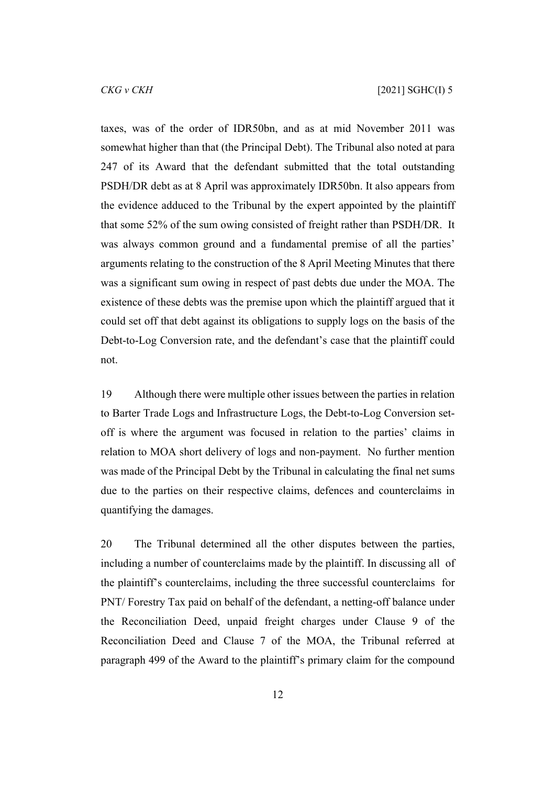taxes, was of the order of IDR50bn, and as at mid November 2011 was somewhat higher than that (the Principal Debt). The Tribunal also noted at para 247 of its Award that the defendant submitted that the total outstanding PSDH/DR debt as at 8 April was approximately IDR50bn. It also appears from the evidence adduced to the Tribunal by the expert appointed by the plaintiff that some 52% of the sum owing consisted of freight rather than PSDH/DR. It was always common ground and a fundamental premise of all the parties' arguments relating to the construction of the 8 April Meeting Minutes that there was a significant sum owing in respect of past debts due under the MOA. The existence of these debts was the premise upon which the plaintiff argued that it could set off that debt against its obligations to supply logs on the basis of the Debt-to-Log Conversion rate, and the defendant's case that the plaintiff could not.

19 Although there were multiple other issues between the parties in relation to Barter Trade Logs and Infrastructure Logs, the Debt-to-Log Conversion setoff is where the argument was focused in relation to the parties' claims in relation to MOA short delivery of logs and non-payment. No further mention was made of the Principal Debt by the Tribunal in calculating the final net sums due to the parties on their respective claims, defences and counterclaims in quantifying the damages.

20 The Tribunal determined all the other disputes between the parties, including a number of counterclaims made by the plaintiff. In discussing all of the plaintiff's counterclaims, including the three successful counterclaims for PNT/ Forestry Tax paid on behalf of the defendant, a netting-off balance under the Reconciliation Deed, unpaid freight charges under Clause 9 of the Reconciliation Deed and Clause 7 of the MOA, the Tribunal referred at paragraph 499 of the Award to the plaintiff's primary claim for the compound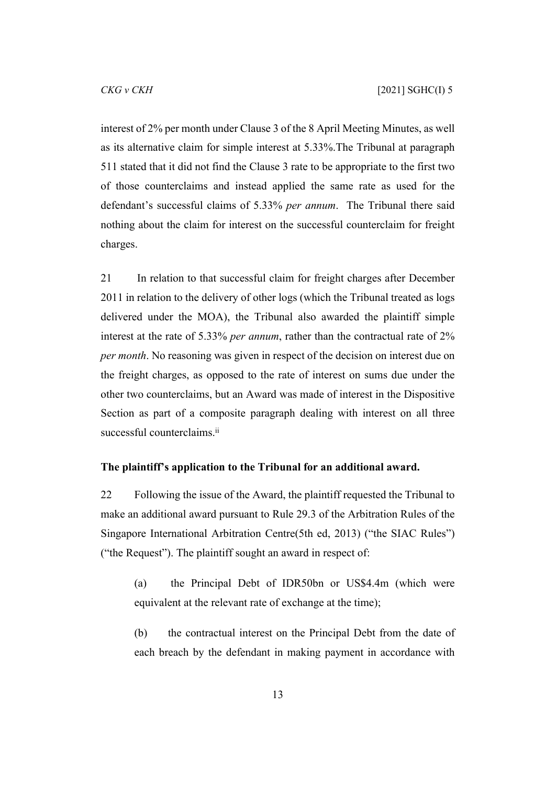interest of 2% per month under Clause 3 of the 8 April Meeting Minutes, as well as its alternative claim for simple interest at 5.33%.The Tribunal at paragraph 511 stated that it did not find the Clause 3 rate to be appropriate to the first two of those counterclaims and instead applied the same rate as used for the defendant's successful claims of 5.33% *per annum*. The Tribunal there said nothing about the claim for interest on the successful counterclaim for freight charges.

21 In relation to that successful claim for freight charges after December 2011 in relation to the delivery of other logs (which the Tribunal treated as logs delivered under the MOA), the Tribunal also awarded the plaintiff simple interest at the rate of 5.33% *per annum*, rather than the contractual rate of 2% *per month*. No reasoning was given in respect of the decision on interest due on the freight charges, as opposed to the rate of interest on sums due under the other two counterclaims, but an Award was made of interest in the Dispositive Section as part of a composite paragraph dealing with interest on all three successful counterclaims.<sup>ii</sup>

#### <span id="page-14-0"></span>**The plaintiff's application to the Tribunal for an additional award.**

22 Following the issue of the Award, the plaintiff requested the Tribunal to make an additional award pursuant to Rule 29.3 of the Arbitration Rules of the Singapore International Arbitration Centre(5th ed, 2013) ("the SIAC Rules") ("the Request"). The plaintiff sought an award in respect of:

(a) the Principal Debt of IDR50bn or US\$4.4m (which were equivalent at the relevant rate of exchange at the time);

(b) the contractual interest on the Principal Debt from the date of each breach by the defendant in making payment in accordance with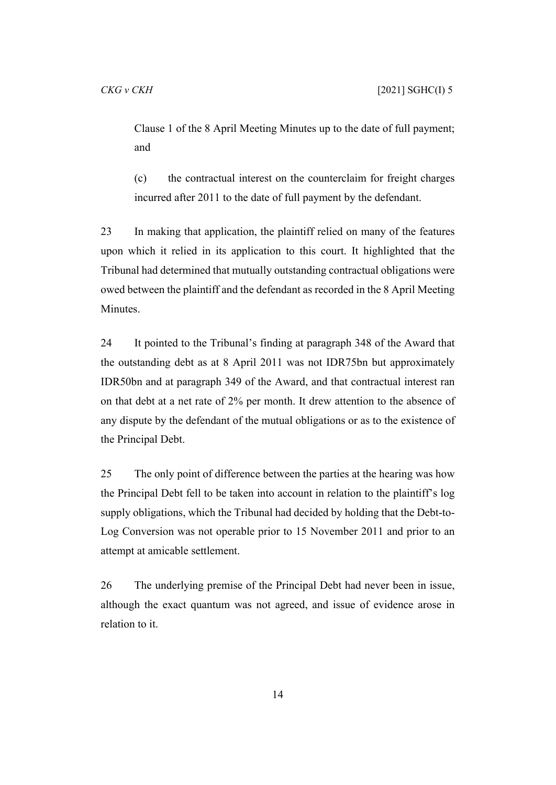Clause 1 of the 8 April Meeting Minutes up to the date of full payment; and

(c) the contractual interest on the counterclaim for freight charges incurred after 2011 to the date of full payment by the defendant.

23 In making that application, the plaintiff relied on many of the features upon which it relied in its application to this court. It highlighted that the Tribunal had determined that mutually outstanding contractual obligations were owed between the plaintiff and the defendant as recorded in the 8 April Meeting Minutes.

24 It pointed to the Tribunal's finding at paragraph 348 of the Award that the outstanding debt as at 8 April 2011 was not IDR75bn but approximately IDR50bn and at paragraph 349 of the Award, and that contractual interest ran on that debt at a net rate of 2% per month. It drew attention to the absence of any dispute by the defendant of the mutual obligations or as to the existence of the Principal Debt.

25 The only point of difference between the parties at the hearing was how the Principal Debt fell to be taken into account in relation to the plaintiff's log supply obligations, which the Tribunal had decided by holding that the Debt-to-Log Conversion was not operable prior to 15 November 2011 and prior to an attempt at amicable settlement.

26 The underlying premise of the Principal Debt had never been in issue, although the exact quantum was not agreed, and issue of evidence arose in relation to it.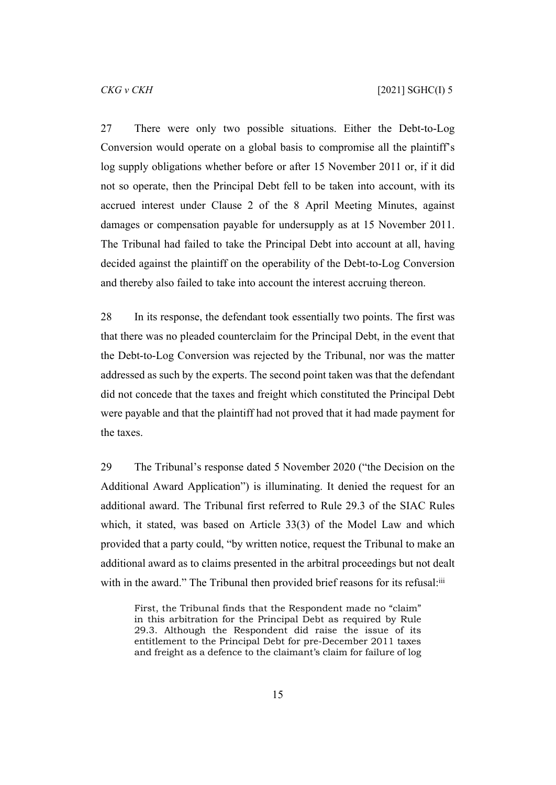27 There were only two possible situations. Either the Debt-to-Log Conversion would operate on a global basis to compromise all the plaintiff's log supply obligations whether before or after 15 November 2011 or, if it did not so operate, then the Principal Debt fell to be taken into account, with its accrued interest under Clause 2 of the 8 April Meeting Minutes, against damages or compensation payable for undersupply as at 15 November 2011. The Tribunal had failed to take the Principal Debt into account at all, having decided against the plaintiff on the operability of the Debt-to-Log Conversion and thereby also failed to take into account the interest accruing thereon.

28 In its response, the defendant took essentially two points. The first was that there was no pleaded counterclaim for the Principal Debt, in the event that the Debt-to-Log Conversion was rejected by the Tribunal, nor was the matter addressed as such by the experts. The second point taken was that the defendant did not concede that the taxes and freight which constituted the Principal Debt were payable and that the plaintiff had not proved that it had made payment for the taxes.

<span id="page-16-0"></span>29 The Tribunal's response dated 5 November 2020 ("the Decision on the Additional Award Application") is illuminating. It denied the request for an additional award. The Tribunal first referred to Rule 29.3 of the SIAC Rules which, it stated, was based on Article 33(3) of the Model Law and which provided that a party could, "by written notice, request the Tribunal to make an additional award as to claims presented in the arbitral proceedings but not dealt with in the award." The Tribunal then provided brief reasons for its refusal:<sup>iii</sup>

First, the Tribunal finds that the Respondent made no "claim" in this arbitration for the Principal Debt as required by Rule 29.3. Although the Respondent did raise the issue of its entitlement to the Principal Debt for pre-December 2011 taxes and freight as a defence to the claimant's claim for failure of log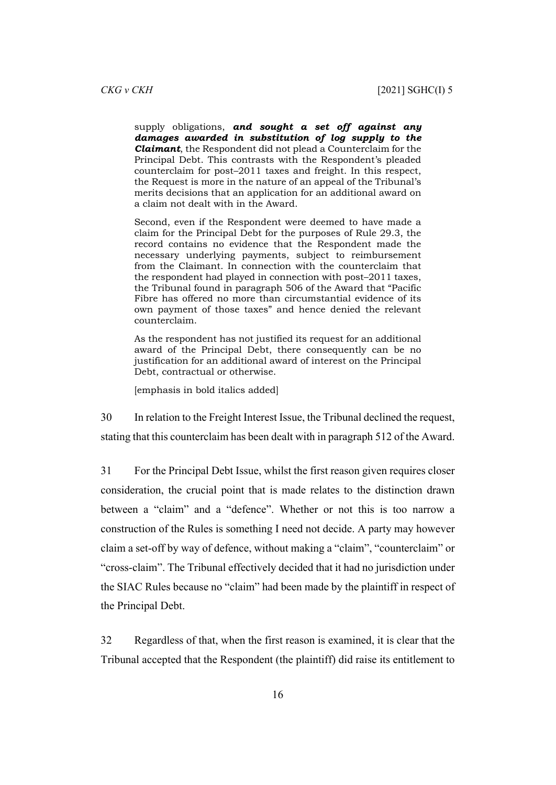supply obligations, *and sought a set off against any damages awarded in substitution of log supply to the Claimant*, the Respondent did not plead a Counterclaim for the Principal Debt. This contrasts with the Respondent's pleaded counterclaim for post–2011 taxes and freight. In this respect, the Request is more in the nature of an appeal of the Tribunal's merits decisions that an application for an additional award on a claim not dealt with in the Award.

Second, even if the Respondent were deemed to have made a claim for the Principal Debt for the purposes of Rule 29.3, the record contains no evidence that the Respondent made the necessary underlying payments, subject to reimbursement from the Claimant. In connection with the counterclaim that the respondent had played in connection with post–2011 taxes, the Tribunal found in paragraph 506 of the Award that "Pacific Fibre has offered no more than circumstantial evidence of its own payment of those taxes" and hence denied the relevant counterclaim.

As the respondent has not justified its request for an additional award of the Principal Debt, there consequently can be no justification for an additional award of interest on the Principal Debt, contractual or otherwise.

[emphasis in bold italics added]

30 In relation to the Freight Interest Issue, the Tribunal declined the request, stating that this counterclaim has been dealt with in paragraph 512 of the Award.

31 For the Principal Debt Issue, whilst the first reason given requires closer consideration, the crucial point that is made relates to the distinction drawn between a "claim" and a "defence". Whether or not this is too narrow a construction of the Rules is something I need not decide. A party may however claim a set-off by way of defence, without making a "claim", "counterclaim" or "cross-claim". The Tribunal effectively decided that it had no jurisdiction under the SIAC Rules because no "claim" had been made by the plaintiff in respect of the Principal Debt.

32 Regardless of that, when the first reason is examined, it is clear that the Tribunal accepted that the Respondent (the plaintiff) did raise its entitlement to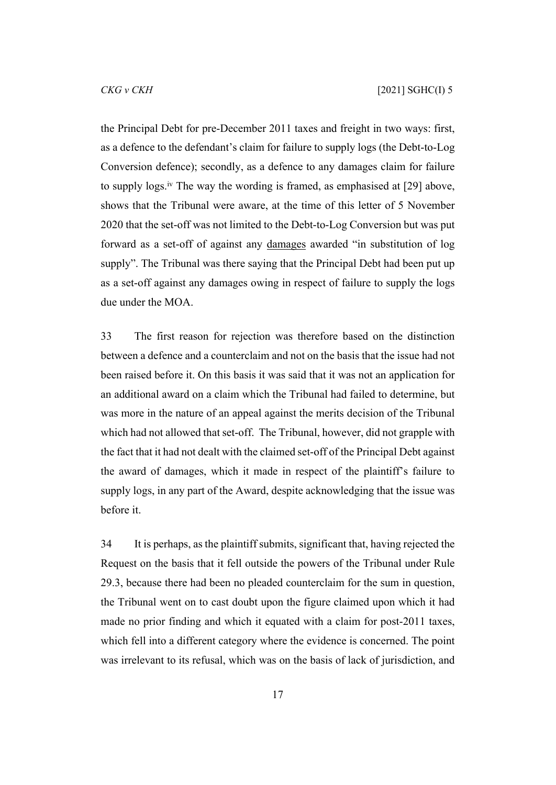the Principal Debt for pre-December 2011 taxes and freight in two ways: first, as a defence to the defendant's claim for failure to supply logs (the Debt-to-Log Conversion defence); secondly, as a defence to any damages claim for failure to supply logs.iv The way the wording is framed, as emphasised at [\[29](#page-16-0)] above, shows that the Tribunal were aware, at the time of this letter of 5 November 2020 that the set-off was not limited to the Debt-to-Log Conversion but was put forward as a set-off of against any damages awarded "in substitution of log supply". The Tribunal was there saying that the Principal Debt had been put up as a set-off against any damages owing in respect of failure to supply the logs due under the MOA.

33 The first reason for rejection was therefore based on the distinction between a defence and a counterclaim and not on the basis that the issue had not been raised before it. On this basis it was said that it was not an application for an additional award on a claim which the Tribunal had failed to determine, but was more in the nature of an appeal against the merits decision of the Tribunal which had not allowed that set-off. The Tribunal, however, did not grapple with the fact that it had not dealt with the claimed set-off of the Principal Debt against the award of damages, which it made in respect of the plaintiff's failure to supply logs, in any part of the Award, despite acknowledging that the issue was before it.

34 It is perhaps, as the plaintiff submits, significant that, having rejected the Request on the basis that it fell outside the powers of the Tribunal under Rule 29.3, because there had been no pleaded counterclaim for the sum in question, the Tribunal went on to cast doubt upon the figure claimed upon which it had made no prior finding and which it equated with a claim for post-2011 taxes, which fell into a different category where the evidence is concerned. The point was irrelevant to its refusal, which was on the basis of lack of jurisdiction, and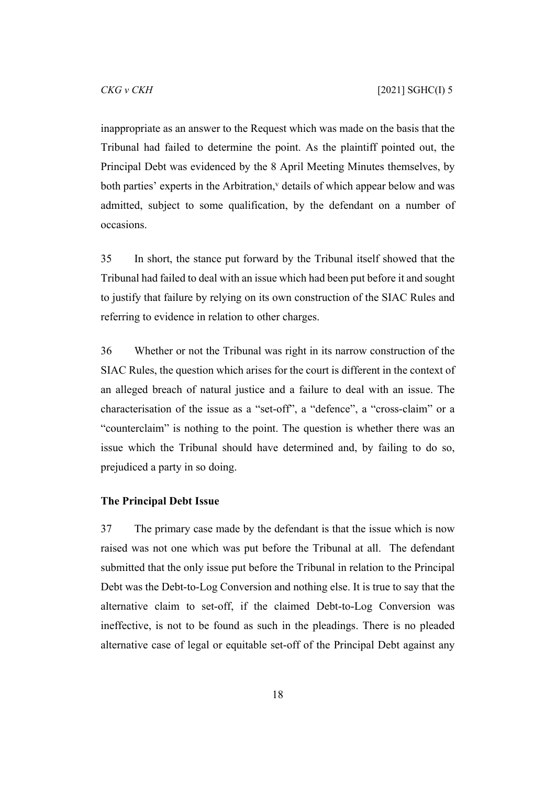inappropriate as an answer to the Request which was made on the basis that the Tribunal had failed to determine the point. As the plaintiff pointed out, the Principal Debt was evidenced by the 8 April Meeting Minutes themselves, by both parties' experts in the Arbitration,  $v$  details of which appear below and was admitted, subject to some qualification, by the defendant on a number of occasions.

35 In short, the stance put forward by the Tribunal itself showed that the Tribunal had failed to deal with an issue which had been put before it and sought to justify that failure by relying on its own construction of the SIAC Rules and referring to evidence in relation to other charges.

36 Whether or not the Tribunal was right in its narrow construction of the SIAC Rules, the question which arises for the court is different in the context of an alleged breach of natural justice and a failure to deal with an issue. The characterisation of the issue as a "set-off", a "defence", a "cross-claim" or a "counterclaim" is nothing to the point. The question is whether there was an issue which the Tribunal should have determined and, by failing to do so, prejudiced a party in so doing.

#### <span id="page-19-0"></span>**The Principal Debt Issue**

37 The primary case made by the defendant is that the issue which is now raised was not one which was put before the Tribunal at all. The defendant submitted that the only issue put before the Tribunal in relation to the Principal Debt was the Debt-to-Log Conversion and nothing else. It is true to say that the alternative claim to set-off, if the claimed Debt-to-Log Conversion was ineffective, is not to be found as such in the pleadings. There is no pleaded alternative case of legal or equitable set-off of the Principal Debt against any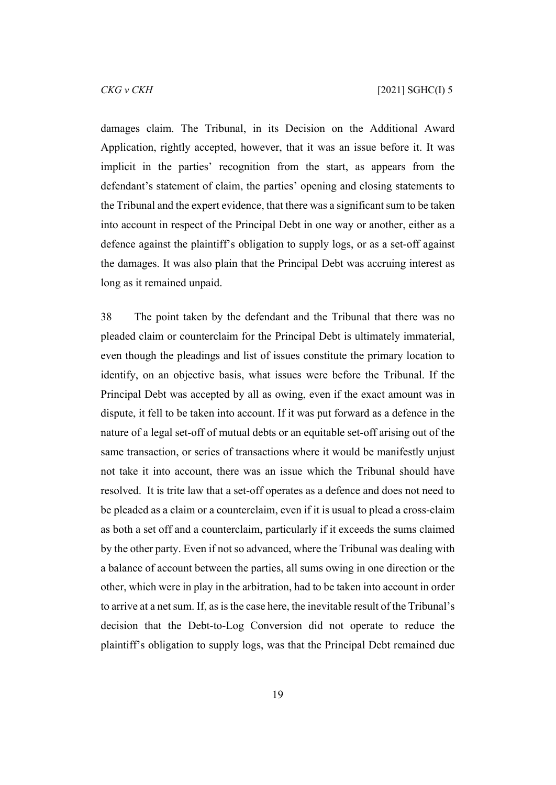damages claim. The Tribunal, in its Decision on the Additional Award Application, rightly accepted, however, that it was an issue before it. It was implicit in the parties' recognition from the start, as appears from the defendant's statement of claim, the parties' opening and closing statements to the Tribunal and the expert evidence, that there was a significant sum to be taken into account in respect of the Principal Debt in one way or another, either as a defence against the plaintiff's obligation to supply logs, or as a set-off against the damages. It was also plain that the Principal Debt was accruing interest as long as it remained unpaid.

38 The point taken by the defendant and the Tribunal that there was no pleaded claim or counterclaim for the Principal Debt is ultimately immaterial, even though the pleadings and list of issues constitute the primary location to identify, on an objective basis, what issues were before the Tribunal. If the Principal Debt was accepted by all as owing, even if the exact amount was in dispute, it fell to be taken into account. If it was put forward as a defence in the nature of a legal set-off of mutual debts or an equitable set-off arising out of the same transaction, or series of transactions where it would be manifestly unjust not take it into account, there was an issue which the Tribunal should have resolved. It is trite law that a set-off operates as a defence and does not need to be pleaded as a claim or a counterclaim, even if it is usual to plead a cross-claim as both a set off and a counterclaim, particularly if it exceeds the sums claimed by the other party. Even if not so advanced, where the Tribunal was dealing with a balance of account between the parties, all sums owing in one direction or the other, which were in play in the arbitration, had to be taken into account in order to arrive at a net sum. If, as is the case here, the inevitable result of the Tribunal's decision that the Debt-to-Log Conversion did not operate to reduce the plaintiff's obligation to supply logs, was that the Principal Debt remained due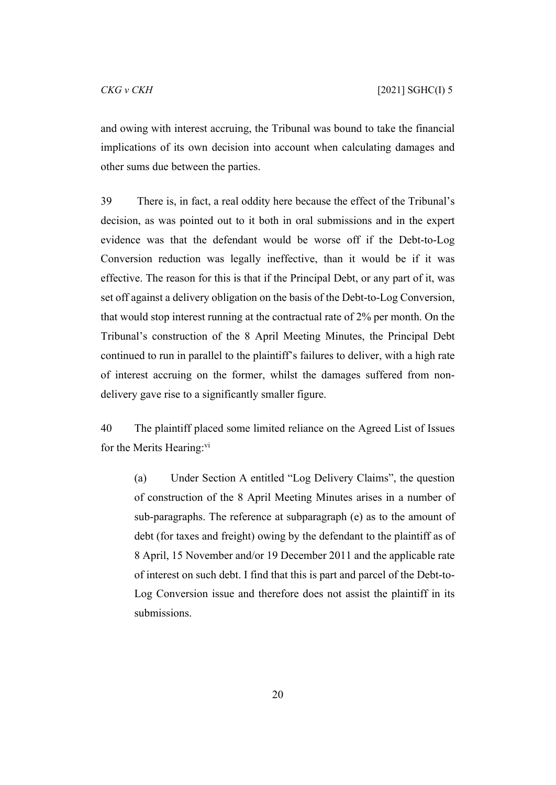and owing with interest accruing, the Tribunal was bound to take the financial implications of its own decision into account when calculating damages and other sums due between the parties.

39 There is, in fact, a real oddity here because the effect of the Tribunal's decision, as was pointed out to it both in oral submissions and in the expert evidence was that the defendant would be worse off if the Debt-to-Log Conversion reduction was legally ineffective, than it would be if it was effective. The reason for this is that if the Principal Debt, or any part of it, was set off against a delivery obligation on the basis of the Debt-to-Log Conversion, that would stop interest running at the contractual rate of 2% per month. On the Tribunal's construction of the 8 April Meeting Minutes, the Principal Debt continued to run in parallel to the plaintiff's failures to deliver, with a high rate of interest accruing on the former, whilst the damages suffered from nondelivery gave rise to a significantly smaller figure.

40 The plaintiff placed some limited reliance on the Agreed List of Issues for the Merits Hearing: $vi$ 

(a) Under Section A entitled "Log Delivery Claims", the question of construction of the 8 April Meeting Minutes arises in a number of sub-paragraphs. The reference at subparagraph (e) as to the amount of debt (for taxes and freight) owing by the defendant to the plaintiff as of 8 April, 15 November and/or 19 December 2011 and the applicable rate of interest on such debt. I find that this is part and parcel of the Debt-to-Log Conversion issue and therefore does not assist the plaintiff in its submissions.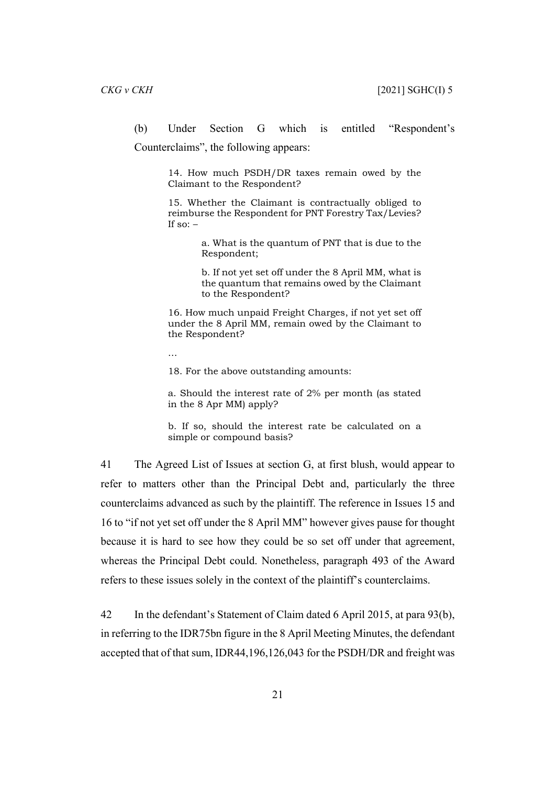(b) Under Section G which is entitled "Respondent's Counterclaims", the following appears:

> 14. How much PSDH/DR taxes remain owed by the Claimant to the Respondent?

> 15. Whether the Claimant is contractually obliged to reimburse the Respondent for PNT Forestry Tax/Levies? If so:  $-$

> > a. What is the quantum of PNT that is due to the Respondent;

> > b. If not yet set off under the 8 April MM, what is the quantum that remains owed by the Claimant to the Respondent?

16. How much unpaid Freight Charges, if not yet set off under the 8 April MM, remain owed by the Claimant to the Respondent?

…

18. For the above outstanding amounts:

a. Should the interest rate of 2% per month (as stated in the 8 Apr MM) apply?

b. If so, should the interest rate be calculated on a simple or compound basis?

41 The Agreed List of Issues at section G, at first blush, would appear to refer to matters other than the Principal Debt and, particularly the three counterclaims advanced as such by the plaintiff. The reference in Issues 15 and 16 to "if not yet set off under the 8 April MM" however gives pause for thought because it is hard to see how they could be so set off under that agreement, whereas the Principal Debt could. Nonetheless, paragraph 493 of the Award refers to these issues solely in the context of the plaintiff's counterclaims.

42 In the defendant's Statement of Claim dated 6 April 2015, at para 93(b), in referring to the IDR75bn figure in the 8 April Meeting Minutes, the defendant accepted that of that sum, IDR44,196,126,043 for the PSDH/DR and freight was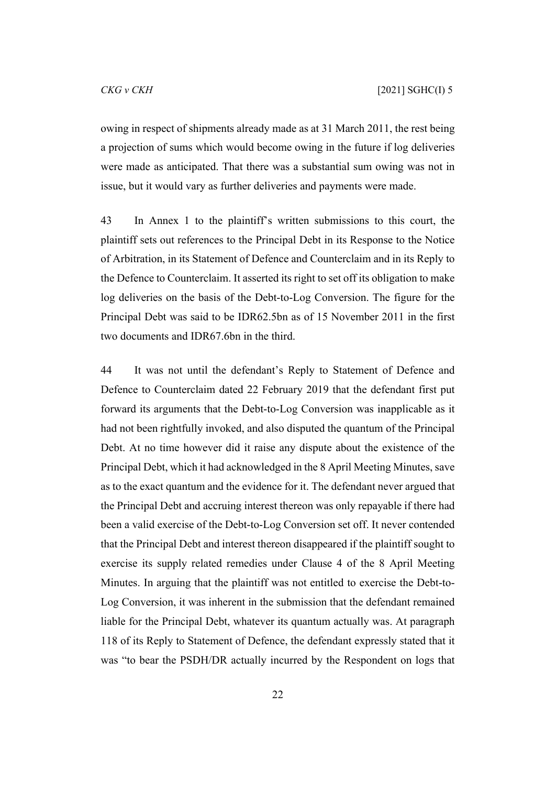owing in respect of shipments already made as at 31 March 2011, the rest being a projection of sums which would become owing in the future if log deliveries were made as anticipated. That there was a substantial sum owing was not in issue, but it would vary as further deliveries and payments were made.

43 In Annex 1 to the plaintiff's written submissions to this court, the plaintiff sets out references to the Principal Debt in its Response to the Notice of Arbitration, in its Statement of Defence and Counterclaim and in its Reply to the Defence to Counterclaim. It asserted its right to set off its obligation to make log deliveries on the basis of the Debt-to-Log Conversion. The figure for the Principal Debt was said to be IDR62.5bn as of 15 November 2011 in the first two documents and IDR67.6bn in the third.

44 It was not until the defendant's Reply to Statement of Defence and Defence to Counterclaim dated 22 February 2019 that the defendant first put forward its arguments that the Debt-to-Log Conversion was inapplicable as it had not been rightfully invoked, and also disputed the quantum of the Principal Debt. At no time however did it raise any dispute about the existence of the Principal Debt, which it had acknowledged in the 8 April Meeting Minutes, save as to the exact quantum and the evidence for it. The defendant never argued that the Principal Debt and accruing interest thereon was only repayable if there had been a valid exercise of the Debt-to-Log Conversion set off. It never contended that the Principal Debt and interest thereon disappeared if the plaintiff sought to exercise its supply related remedies under Clause 4 of the 8 April Meeting Minutes. In arguing that the plaintiff was not entitled to exercise the Debt-to-Log Conversion, it was inherent in the submission that the defendant remained liable for the Principal Debt, whatever its quantum actually was. At paragraph 118 of its Reply to Statement of Defence, the defendant expressly stated that it was "to bear the PSDH/DR actually incurred by the Respondent on logs that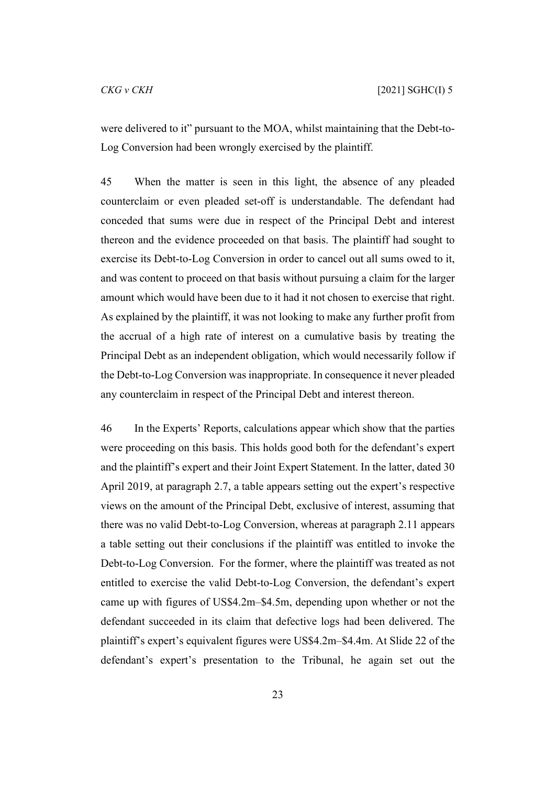were delivered to it" pursuant to the MOA, whilst maintaining that the Debt-to-Log Conversion had been wrongly exercised by the plaintiff.

45 When the matter is seen in this light, the absence of any pleaded counterclaim or even pleaded set-off is understandable. The defendant had conceded that sums were due in respect of the Principal Debt and interest thereon and the evidence proceeded on that basis. The plaintiff had sought to exercise its Debt-to-Log Conversion in order to cancel out all sums owed to it, and was content to proceed on that basis without pursuing a claim for the larger amount which would have been due to it had it not chosen to exercise that right. As explained by the plaintiff, it was not looking to make any further profit from the accrual of a high rate of interest on a cumulative basis by treating the Principal Debt as an independent obligation, which would necessarily follow if the Debt-to-Log Conversion was inappropriate. In consequence it never pleaded any counterclaim in respect of the Principal Debt and interest thereon.

46 In the Experts' Reports, calculations appear which show that the parties were proceeding on this basis. This holds good both for the defendant's expert and the plaintiff's expert and their Joint Expert Statement. In the latter, dated 30 April 2019, at paragraph 2.7, a table appears setting out the expert's respective views on the amount of the Principal Debt, exclusive of interest, assuming that there was no valid Debt-to-Log Conversion, whereas at paragraph 2.11 appears a table setting out their conclusions if the plaintiff was entitled to invoke the Debt-to-Log Conversion. For the former, where the plaintiff was treated as not entitled to exercise the valid Debt-to-Log Conversion, the defendant's expert came up with figures of US\$4.2m–\$4.5m, depending upon whether or not the defendant succeeded in its claim that defective logs had been delivered. The plaintiff's expert's equivalent figures were US\$4.2m–\$4.4m. At Slide 22 of the defendant's expert's presentation to the Tribunal, he again set out the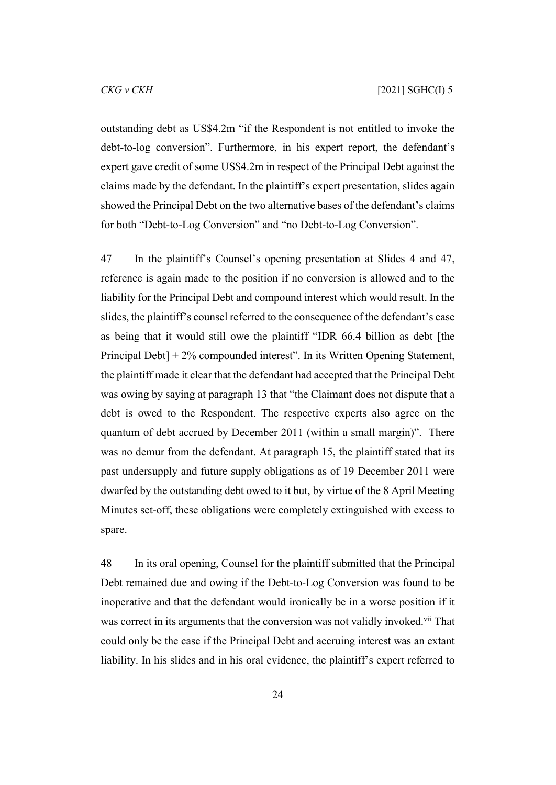outstanding debt as US\$4.2m "if the Respondent is not entitled to invoke the debt-to-log conversion". Furthermore, in his expert report, the defendant's expert gave credit of some US\$4.2m in respect of the Principal Debt against the claims made by the defendant. In the plaintiff's expert presentation, slides again showed the Principal Debt on the two alternative bases of the defendant's claims for both "Debt-to-Log Conversion" and "no Debt-to-Log Conversion".

47 In the plaintiff's Counsel's opening presentation at Slides 4 and 47, reference is again made to the position if no conversion is allowed and to the liability for the Principal Debt and compound interest which would result. In the slides, the plaintiff's counsel referred to the consequence of the defendant's case as being that it would still owe the plaintiff "IDR 66.4 billion as debt [the Principal Debt] + 2% compounded interest". In its Written Opening Statement, the plaintiff made it clear that the defendant had accepted that the Principal Debt was owing by saying at paragraph 13 that "the Claimant does not dispute that a debt is owed to the Respondent. The respective experts also agree on the quantum of debt accrued by December 2011 (within a small margin)". There was no demur from the defendant. At paragraph 15, the plaintiff stated that its past undersupply and future supply obligations as of 19 December 2011 were dwarfed by the outstanding debt owed to it but, by virtue of the 8 April Meeting Minutes set-off, these obligations were completely extinguished with excess to spare.

48 In its oral opening, Counsel for the plaintiff submitted that the Principal Debt remained due and owing if the Debt-to-Log Conversion was found to be inoperative and that the defendant would ironically be in a worse position if it was correct in its arguments that the conversion was not validly invoked.<sup>vii</sup> That could only be the case if the Principal Debt and accruing interest was an extant liability. In his slides and in his oral evidence, the plaintiff's expert referred to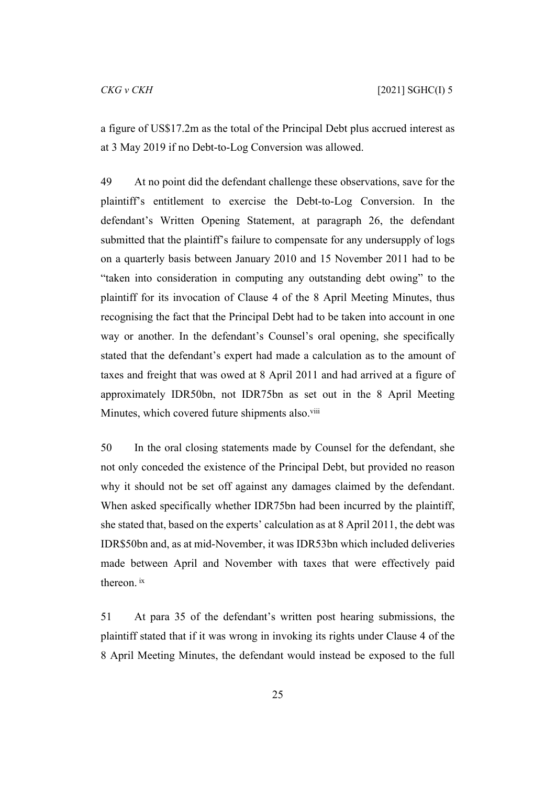a figure of US\$17.2m as the total of the Principal Debt plus accrued interest as at 3 May 2019 if no Debt-to-Log Conversion was allowed.

49 At no point did the defendant challenge these observations, save for the plaintiff's entitlement to exercise the Debt-to-Log Conversion. In the defendant's Written Opening Statement, at paragraph 26, the defendant submitted that the plaintiff's failure to compensate for any undersupply of logs on a quarterly basis between January 2010 and 15 November 2011 had to be "taken into consideration in computing any outstanding debt owing" to the plaintiff for its invocation of Clause 4 of the 8 April Meeting Minutes, thus recognising the fact that the Principal Debt had to be taken into account in one way or another. In the defendant's Counsel's oral opening, she specifically stated that the defendant's expert had made a calculation as to the amount of taxes and freight that was owed at 8 April 2011 and had arrived at a figure of approximately IDR50bn, not IDR75bn as set out in the 8 April Meeting Minutes, which covered future shipments also.<sup>viii</sup>

50 In the oral closing statements made by Counsel for the defendant, she not only conceded the existence of the Principal Debt, but provided no reason why it should not be set off against any damages claimed by the defendant. When asked specifically whether IDR75bn had been incurred by the plaintiff, she stated that, based on the experts' calculation as at 8 April 2011, the debt was IDR\$50bn and, as at mid-November, it was IDR53bn which included deliveries made between April and November with taxes that were effectively paid thereon. ix

51 At para 35 of the defendant's written post hearing submissions, the plaintiff stated that if it was wrong in invoking its rights under Clause 4 of the 8 April Meeting Minutes, the defendant would instead be exposed to the full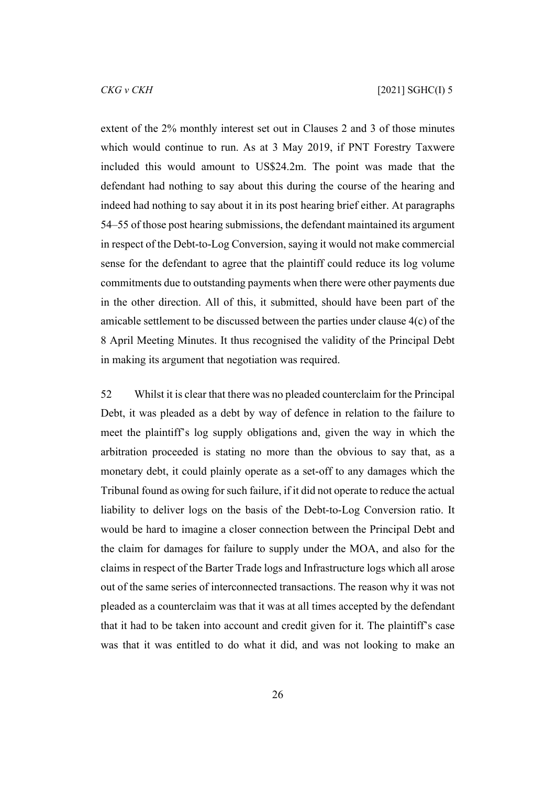extent of the 2% monthly interest set out in Clauses 2 and 3 of those minutes which would continue to run. As at 3 May 2019, if PNT Forestry Taxwere included this would amount to US\$24.2m. The point was made that the defendant had nothing to say about this during the course of the hearing and indeed had nothing to say about it in its post hearing brief either. At paragraphs 54–55 of those post hearing submissions, the defendant maintained its argument in respect of the Debt-to-Log Conversion, saying it would not make commercial sense for the defendant to agree that the plaintiff could reduce its log volume commitments due to outstanding payments when there were other payments due in the other direction. All of this, it submitted, should have been part of the amicable settlement to be discussed between the parties under clause 4(c) of the 8 April Meeting Minutes. It thus recognised the validity of the Principal Debt in making its argument that negotiation was required.

52 Whilst it is clear that there was no pleaded counterclaim for the Principal Debt, it was pleaded as a debt by way of defence in relation to the failure to meet the plaintiff's log supply obligations and, given the way in which the arbitration proceeded is stating no more than the obvious to say that, as a monetary debt, it could plainly operate as a set-off to any damages which the Tribunal found as owing for such failure, if it did not operate to reduce the actual liability to deliver logs on the basis of the Debt-to-Log Conversion ratio. It would be hard to imagine a closer connection between the Principal Debt and the claim for damages for failure to supply under the MOA, and also for the claims in respect of the Barter Trade logs and Infrastructure logs which all arose out of the same series of interconnected transactions. The reason why it was not pleaded as a counterclaim was that it was at all times accepted by the defendant that it had to be taken into account and credit given for it. The plaintiff's case was that it was entitled to do what it did, and was not looking to make an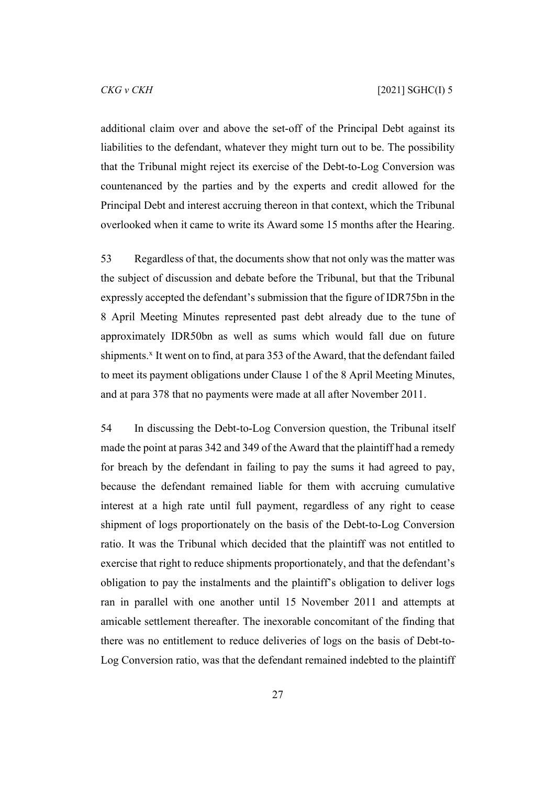additional claim over and above the set-off of the Principal Debt against its liabilities to the defendant, whatever they might turn out to be. The possibility that the Tribunal might reject its exercise of the Debt-to-Log Conversion was countenanced by the parties and by the experts and credit allowed for the Principal Debt and interest accruing thereon in that context, which the Tribunal overlooked when it came to write its Award some 15 months after the Hearing.

53 Regardless of that, the documents show that not only was the matter was the subject of discussion and debate before the Tribunal, but that the Tribunal expressly accepted the defendant's submission that the figure of IDR75bn in the 8 April Meeting Minutes represented past debt already due to the tune of approximately IDR50bn as well as sums which would fall due on future shipments.<sup>x</sup> It went on to find, at para 353 of the Award, that the defendant failed to meet its payment obligations under Clause 1 of the 8 April Meeting Minutes, and at para 378 that no payments were made at all after November 2011.

54 In discussing the Debt-to-Log Conversion question, the Tribunal itself made the point at paras 342 and 349 of the Award that the plaintiff had a remedy for breach by the defendant in failing to pay the sums it had agreed to pay, because the defendant remained liable for them with accruing cumulative interest at a high rate until full payment, regardless of any right to cease shipment of logs proportionately on the basis of the Debt-to-Log Conversion ratio. It was the Tribunal which decided that the plaintiff was not entitled to exercise that right to reduce shipments proportionately, and that the defendant's obligation to pay the instalments and the plaintiff's obligation to deliver logs ran in parallel with one another until 15 November 2011 and attempts at amicable settlement thereafter. The inexorable concomitant of the finding that there was no entitlement to reduce deliveries of logs on the basis of Debt-to-Log Conversion ratio, was that the defendant remained indebted to the plaintiff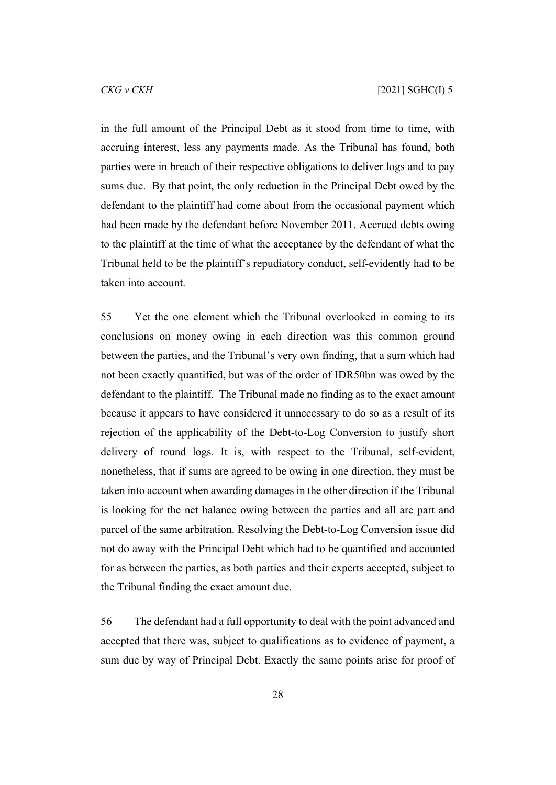in the full amount of the Principal Debt as it stood from time to time, with accruing interest, less any payments made. As the Tribunal has found, both parties were in breach of their respective obligations to deliver logs and to pay sums due. By that point, the only reduction in the Principal Debt owed by the defendant to the plaintiff had come about from the occasional payment which had been made by the defendant before November 2011. Accrued debts owing to the plaintiff at the time of what the acceptance by the defendant of what the Tribunal held to be the plaintiff's repudiatory conduct, self-evidently had to be taken into account.

55 Yet the one element which the Tribunal overlooked in coming to its conclusions on money owing in each direction was this common ground between the parties, and the Tribunal's very own finding, that a sum which had not been exactly quantified, but was of the order of IDR50bn was owed by the defendant to the plaintiff. The Tribunal made no finding as to the exact amount because it appears to have considered it unnecessary to do so as a result of its rejection of the applicability of the Debt-to-Log Conversion to justify short delivery of round logs. It is, with respect to the Tribunal, self-evident, nonetheless, that if sums are agreed to be owing in one direction, they must be taken into account when awarding damages in the other direction if the Tribunal is looking for the net balance owing between the parties and all are part and parcel of the same arbitration. Resolving the Debt-to-Log Conversion issue did not do away with the Principal Debt which had to be quantified and accounted for as between the parties, as both parties and their experts accepted, subject to the Tribunal finding the exact amount due.

56 The defendant had a full opportunity to deal with the point advanced and accepted that there was, subject to qualifications as to evidence of payment, a sum due by way of Principal Debt. Exactly the same points arise for proof of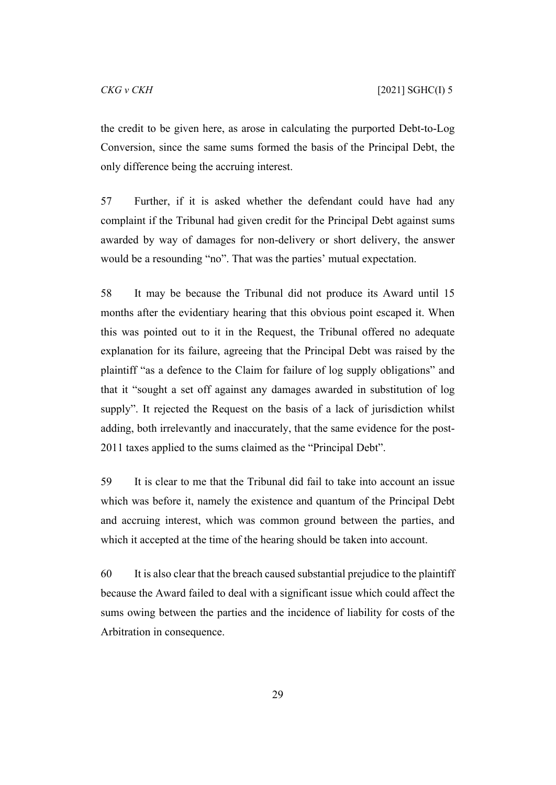the credit to be given here, as arose in calculating the purported Debt-to-Log Conversion, since the same sums formed the basis of the Principal Debt, the only difference being the accruing interest.

57 Further, if it is asked whether the defendant could have had any complaint if the Tribunal had given credit for the Principal Debt against sums awarded by way of damages for non-delivery or short delivery, the answer would be a resounding "no". That was the parties' mutual expectation.

58 It may be because the Tribunal did not produce its Award until 15 months after the evidentiary hearing that this obvious point escaped it. When this was pointed out to it in the Request, the Tribunal offered no adequate explanation for its failure, agreeing that the Principal Debt was raised by the plaintiff "as a defence to the Claim for failure of log supply obligations" and that it "sought a set off against any damages awarded in substitution of log supply". It rejected the Request on the basis of a lack of jurisdiction whilst adding, both irrelevantly and inaccurately, that the same evidence for the post-2011 taxes applied to the sums claimed as the "Principal Debt".

59 It is clear to me that the Tribunal did fail to take into account an issue which was before it, namely the existence and quantum of the Principal Debt and accruing interest, which was common ground between the parties, and which it accepted at the time of the hearing should be taken into account.

60 It is also clear that the breach caused substantial prejudice to the plaintiff because the Award failed to deal with a significant issue which could affect the sums owing between the parties and the incidence of liability for costs of the Arbitration in consequence.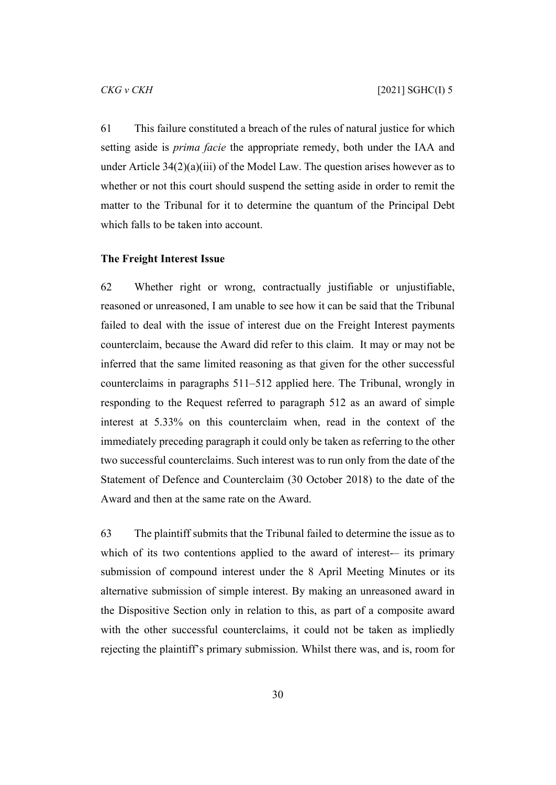61 This failure constituted a breach of the rules of natural justice for which setting aside is *prima facie* the appropriate remedy, both under the IAA and under Article  $34(2)(a)(iii)$  of the Model Law. The question arises however as to whether or not this court should suspend the setting aside in order to remit the matter to the Tribunal for it to determine the quantum of the Principal Debt which falls to be taken into account.

#### <span id="page-31-0"></span>**The Freight Interest Issue**

62 Whether right or wrong, contractually justifiable or unjustifiable, reasoned or unreasoned, I am unable to see how it can be said that the Tribunal failed to deal with the issue of interest due on the Freight Interest payments counterclaim, because the Award did refer to this claim. It may or may not be inferred that the same limited reasoning as that given for the other successful counterclaims in paragraphs 511–512 applied here. The Tribunal, wrongly in responding to the Request referred to paragraph 512 as an award of simple interest at 5.33% on this counterclaim when, read in the context of the immediately preceding paragraph it could only be taken as referring to the other two successful counterclaims. Such interest was to run only from the date of the Statement of Defence and Counterclaim (30 October 2018) to the date of the Award and then at the same rate on the Award.

63 The plaintiff submits that the Tribunal failed to determine the issue as to which of its two contentions applied to the award of interest-– its primary submission of compound interest under the 8 April Meeting Minutes or its alternative submission of simple interest. By making an unreasoned award in the Dispositive Section only in relation to this, as part of a composite award with the other successful counterclaims, it could not be taken as impliedly rejecting the plaintiff's primary submission. Whilst there was, and is, room for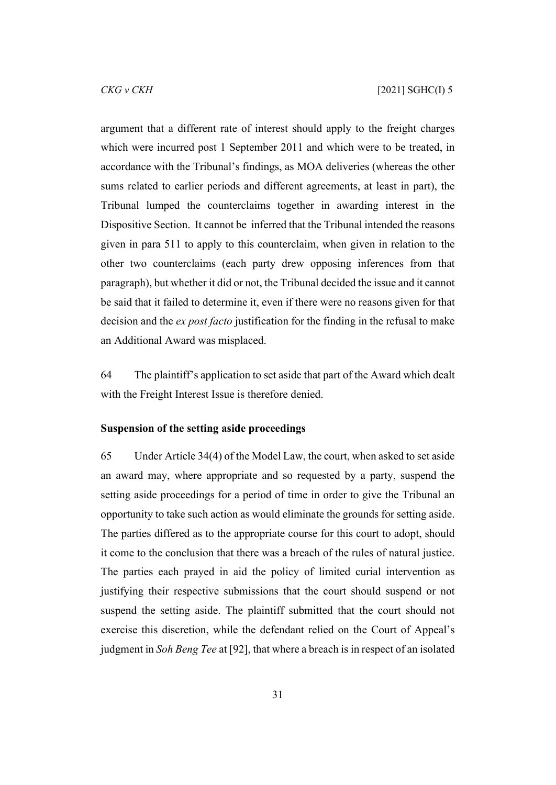argument that a different rate of interest should apply to the freight charges which were incurred post 1 September 2011 and which were to be treated, in accordance with the Tribunal's findings, as MOA deliveries (whereas the other sums related to earlier periods and different agreements, at least in part), the Tribunal lumped the counterclaims together in awarding interest in the Dispositive Section. It cannot be inferred that the Tribunal intended the reasons given in para 511 to apply to this counterclaim, when given in relation to the other two counterclaims (each party drew opposing inferences from that paragraph), but whether it did or not, the Tribunal decided the issue and it cannot be said that it failed to determine it, even if there were no reasons given for that decision and the *ex post facto* justification for the finding in the refusal to make an Additional Award was misplaced.

64 The plaintiff's application to set aside that part of the Award which dealt with the Freight Interest Issue is therefore denied.

#### <span id="page-32-0"></span>**Suspension of the setting aside proceedings**

65 Under Article 34(4) of the Model Law, the court, when asked to set aside an award may, where appropriate and so requested by a party, suspend the setting aside proceedings for a period of time in order to give the Tribunal an opportunity to take such action as would eliminate the grounds for setting aside. The parties differed as to the appropriate course for this court to adopt, should it come to the conclusion that there was a breach of the rules of natural justice. The parties each prayed in aid the policy of limited curial intervention as justifying their respective submissions that the court should suspend or not suspend the setting aside. The plaintiff submitted that the court should not exercise this discretion, while the defendant relied on the Court of Appeal's judgment in *Soh Beng Tee* at [92], that where a breach is in respect of an isolated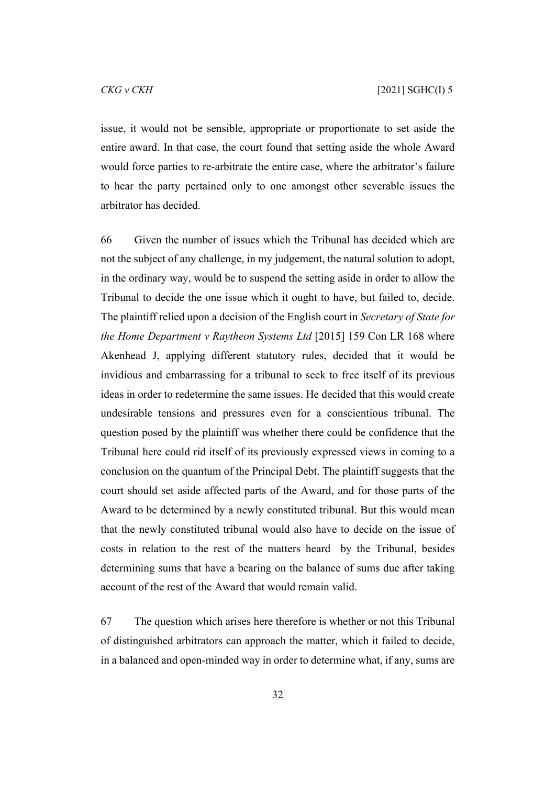issue, it would not be sensible, appropriate or proportionate to set aside the entire award. In that case, the court found that setting aside the whole Award would force parties to re-arbitrate the entire case, where the arbitrator's failure to hear the party pertained only to one amongst other severable issues the arbitrator has decided.

66 Given the number of issues which the Tribunal has decided which are not the subject of any challenge, in my judgement, the natural solution to adopt, in the ordinary way, would be to suspend the setting aside in order to allow the Tribunal to decide the one issue which it ought to have, but failed to, decide. The plaintiff relied upon a decision of the English court in *Secretary of State for the Home Department v Raytheon Systems Ltd* [2015] 159 Con LR 168 where Akenhead J, applying different statutory rules, decided that it would be invidious and embarrassing for a tribunal to seek to free itself of its previous ideas in order to redetermine the same issues. He decided that this would create undesirable tensions and pressures even for a conscientious tribunal. The question posed by the plaintiff was whether there could be confidence that the Tribunal here could rid itself of its previously expressed views in coming to a conclusion on the quantum of the Principal Debt. The plaintiff suggests that the court should set aside affected parts of the Award, and for those parts of the Award to be determined by a newly constituted tribunal. But this would mean that the newly constituted tribunal would also have to decide on the issue of costs in relation to the rest of the matters heard by the Tribunal, besides determining sums that have a bearing on the balance of sums due after taking account of the rest of the Award that would remain valid.

67 The question which arises here therefore is whether or not this Tribunal of distinguished arbitrators can approach the matter, which it failed to decide, in a balanced and open-minded way in order to determine what, if any, sums are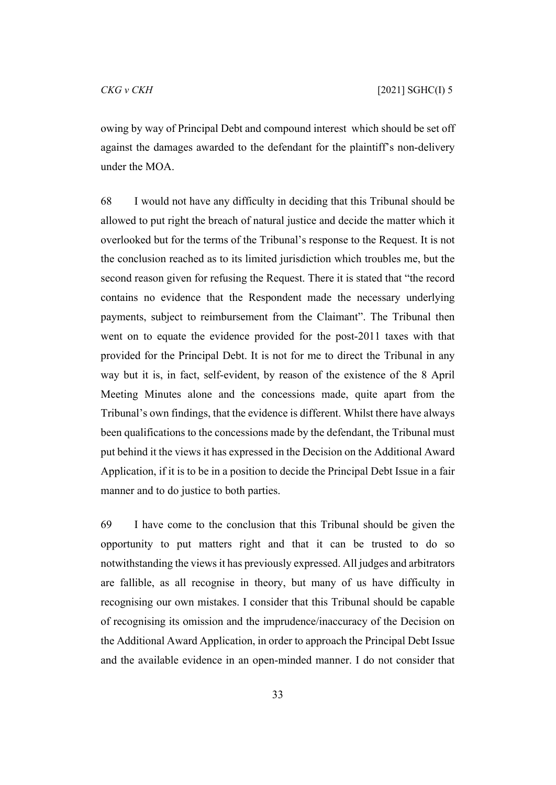owing by way of Principal Debt and compound interest which should be set off against the damages awarded to the defendant for the plaintiff's non-delivery under the MOA.

68 I would not have any difficulty in deciding that this Tribunal should be allowed to put right the breach of natural justice and decide the matter which it overlooked but for the terms of the Tribunal's response to the Request. It is not the conclusion reached as to its limited jurisdiction which troubles me, but the second reason given for refusing the Request. There it is stated that "the record contains no evidence that the Respondent made the necessary underlying payments, subject to reimbursement from the Claimant". The Tribunal then went on to equate the evidence provided for the post-2011 taxes with that provided for the Principal Debt. It is not for me to direct the Tribunal in any way but it is, in fact, self-evident, by reason of the existence of the 8 April Meeting Minutes alone and the concessions made, quite apart from the Tribunal's own findings, that the evidence is different. Whilst there have always been qualifications to the concessions made by the defendant, the Tribunal must put behind it the views it has expressed in the Decision on the Additional Award Application, if it is to be in a position to decide the Principal Debt Issue in a fair manner and to do justice to both parties.

69 I have come to the conclusion that this Tribunal should be given the opportunity to put matters right and that it can be trusted to do so notwithstanding the views it has previously expressed. All judges and arbitrators are fallible, as all recognise in theory, but many of us have difficulty in recognising our own mistakes. I consider that this Tribunal should be capable of recognising its omission and the imprudence/inaccuracy of the Decision on the Additional Award Application, in order to approach the Principal Debt Issue and the available evidence in an open-minded manner. I do not consider that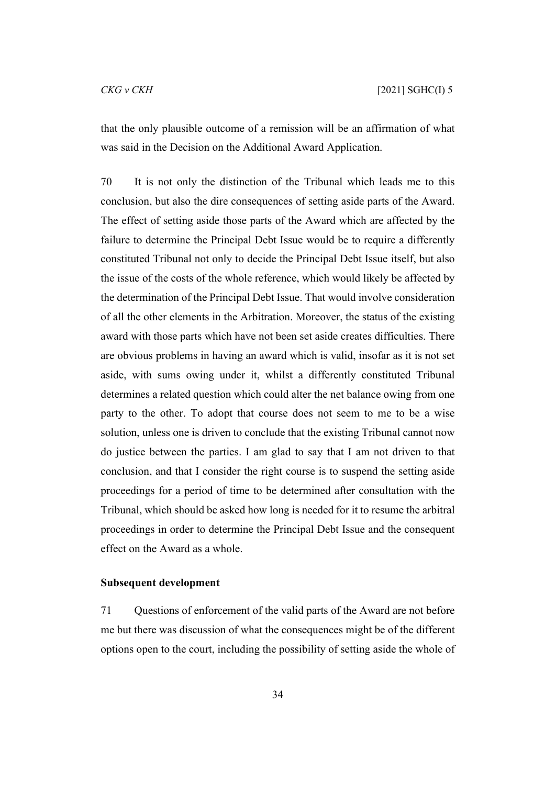that the only plausible outcome of a remission will be an affirmation of what was said in the Decision on the Additional Award Application.

70 It is not only the distinction of the Tribunal which leads me to this conclusion, but also the dire consequences of setting aside parts of the Award. The effect of setting aside those parts of the Award which are affected by the failure to determine the Principal Debt Issue would be to require a differently constituted Tribunal not only to decide the Principal Debt Issue itself, but also the issue of the costs of the whole reference, which would likely be affected by the determination of the Principal Debt Issue. That would involve consideration of all the other elements in the Arbitration. Moreover, the status of the existing award with those parts which have not been set aside creates difficulties. There are obvious problems in having an award which is valid, insofar as it is not set aside, with sums owing under it, whilst a differently constituted Tribunal determines a related question which could alter the net balance owing from one party to the other. To adopt that course does not seem to me to be a wise solution, unless one is driven to conclude that the existing Tribunal cannot now do justice between the parties. I am glad to say that I am not driven to that conclusion, and that I consider the right course is to suspend the setting aside proceedings for a period of time to be determined after consultation with the Tribunal, which should be asked how long is needed for it to resume the arbitral proceedings in order to determine the Principal Debt Issue and the consequent effect on the Award as a whole.

#### <span id="page-35-0"></span>**Subsequent development**

71 Questions of enforcement of the valid parts of the Award are not before me but there was discussion of what the consequences might be of the different options open to the court, including the possibility of setting aside the whole of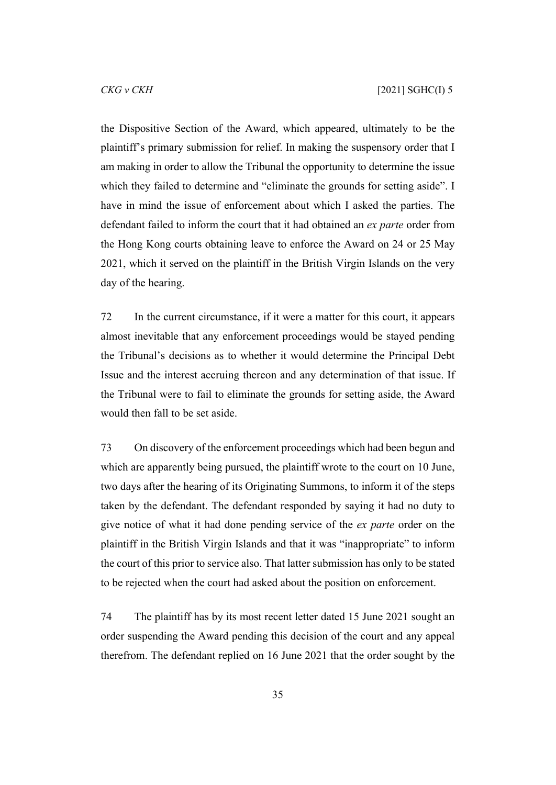the Dispositive Section of the Award, which appeared, ultimately to be the plaintiff's primary submission for relief. In making the suspensory order that I am making in order to allow the Tribunal the opportunity to determine the issue which they failed to determine and "eliminate the grounds for setting aside". I have in mind the issue of enforcement about which I asked the parties. The defendant failed to inform the court that it had obtained an *ex parte* order from the Hong Kong courts obtaining leave to enforce the Award on 24 or 25 May 2021, which it served on the plaintiff in the British Virgin Islands on the very day of the hearing.

72 In the current circumstance, if it were a matter for this court, it appears almost inevitable that any enforcement proceedings would be stayed pending the Tribunal's decisions as to whether it would determine the Principal Debt Issue and the interest accruing thereon and any determination of that issue. If the Tribunal were to fail to eliminate the grounds for setting aside, the Award would then fall to be set aside.

73 On discovery of the enforcement proceedings which had been begun and which are apparently being pursued, the plaintiff wrote to the court on 10 June, two days after the hearing of its Originating Summons, to inform it of the steps taken by the defendant. The defendant responded by saying it had no duty to give notice of what it had done pending service of the *ex parte* order on the plaintiff in the British Virgin Islands and that it was "inappropriate" to inform the court of this prior to service also. That latter submission has only to be stated to be rejected when the court had asked about the position on enforcement.

74 The plaintiff has by its most recent letter dated 15 June 2021 sought an order suspending the Award pending this decision of the court and any appeal therefrom. The defendant replied on 16 June 2021 that the order sought by the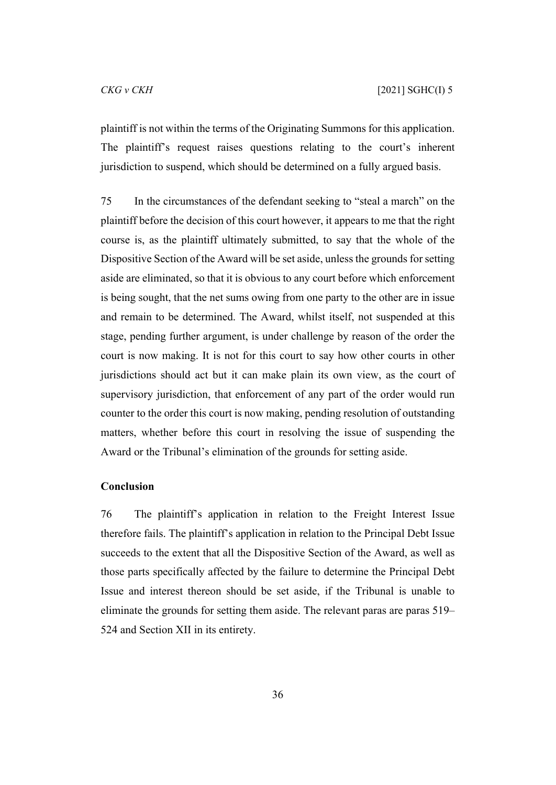plaintiff is not within the terms of the Originating Summons for this application. The plaintiff's request raises questions relating to the court's inherent jurisdiction to suspend, which should be determined on a fully argued basis.

75 In the circumstances of the defendant seeking to "steal a march" on the plaintiff before the decision of this court however, it appears to me that the right course is, as the plaintiff ultimately submitted, to say that the whole of the Dispositive Section of the Award will be set aside, unless the grounds for setting aside are eliminated, so that it is obvious to any court before which enforcement is being sought, that the net sums owing from one party to the other are in issue and remain to be determined. The Award, whilst itself, not suspended at this stage, pending further argument, is under challenge by reason of the order the court is now making. It is not for this court to say how other courts in other jurisdictions should act but it can make plain its own view, as the court of supervisory jurisdiction, that enforcement of any part of the order would run counter to the order this court is now making, pending resolution of outstanding matters, whether before this court in resolving the issue of suspending the Award or the Tribunal's elimination of the grounds for setting aside.

#### <span id="page-37-0"></span>**Conclusion**

76 The plaintiff's application in relation to the Freight Interest Issue therefore fails. The plaintiff's application in relation to the Principal Debt Issue succeeds to the extent that all the Dispositive Section of the Award, as well as those parts specifically affected by the failure to determine the Principal Debt Issue and interest thereon should be set aside, if the Tribunal is unable to eliminate the grounds for setting them aside. The relevant paras are paras 519– 524 and Section XII in its entirety.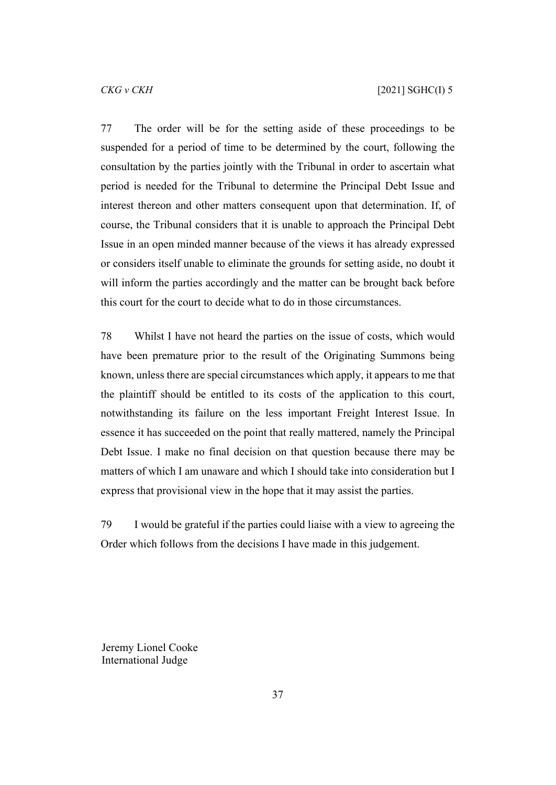77 The order will be for the setting aside of these proceedings to be suspended for a period of time to be determined by the court, following the consultation by the parties jointly with the Tribunal in order to ascertain what period is needed for the Tribunal to determine the Principal Debt Issue and interest thereon and other matters consequent upon that determination. If, of course, the Tribunal considers that it is unable to approach the Principal Debt Issue in an open minded manner because of the views it has already expressed or considers itself unable to eliminate the grounds for setting aside, no doubt it will inform the parties accordingly and the matter can be brought back before this court for the court to decide what to do in those circumstances.

78 Whilst I have not heard the parties on the issue of costs, which would have been premature prior to the result of the Originating Summons being known, unless there are special circumstances which apply, it appears to me that the plaintiff should be entitled to its costs of the application to this court, notwithstanding its failure on the less important Freight Interest Issue. In essence it has succeeded on the point that really mattered, namely the Principal Debt Issue. I make no final decision on that question because there may be matters of which I am unaware and which I should take into consideration but I express that provisional view in the hope that it may assist the parties.

79 I would be grateful if the parties could liaise with a view to agreeing the Order which follows from the decisions I have made in this judgement.

Jeremy Lionel Cooke International Judge